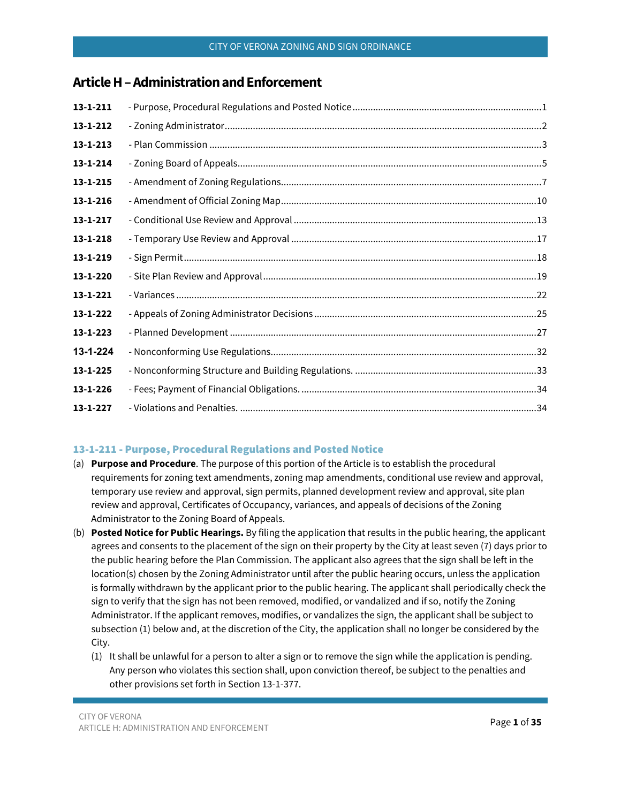# **Article H–Administration and Enforcement**

| $13 - 1 - 211$ |  |
|----------------|--|
| 13-1-212       |  |
| $13 - 1 - 213$ |  |
| $13 - 1 - 214$ |  |
| $13 - 1 - 215$ |  |
| 13-1-216       |  |
| $13 - 1 - 217$ |  |
| $13 - 1 - 218$ |  |
| $13 - 1 - 219$ |  |
| 13-1-220       |  |
| $13 - 1 - 221$ |  |
| $13 - 1 - 222$ |  |
| $13 - 1 - 223$ |  |
| 13-1-224       |  |
| $13 - 1 - 225$ |  |
| 13-1-226       |  |
| 13-1-227       |  |

## <span id="page-0-0"></span>13-1-211 - Purpose, Procedural Regulations and Posted Notice

- (a) **Purpose and Procedure**. The purpose of this portion of the Article is to establish the procedural requirements for zoning text amendments, zoning map amendments, conditional use review and approval, temporary use review and approval, sign permits, planned development review and approval, site plan review and approval, Certificates of Occupancy, variances, and appeals of decisions of the Zoning Administrator to the Zoning Board of Appeals.
- (b) **Posted Notice for Public Hearings.** By filing the application that results in the public hearing, the applicant agrees and consents to the placement of the sign on their property by the City at least seven (7) days prior to the public hearing before the Plan Commission. The applicant also agrees that the sign shall be left in the location(s) chosen by the Zoning Administrator until after the public hearing occurs, unless the application is formally withdrawn by the applicant prior to the public hearing. The applicant shall periodically check the sign to verify that the sign has not been removed, modified, or vandalized and if so, notify the Zoning Administrator. If the applicant removes, modifies, or vandalizes the sign, the applicant shall be subject to subsection (1) below and, at the discretion of the City, the application shall no longer be considered by the City.
	- (1) It shall be unlawful for a person to alter a sign or to remove the sign while the application is pending. Any person who violates this section shall, upon conviction thereof, be subject to the penalties and other provisions set forth in Section 13-1-377.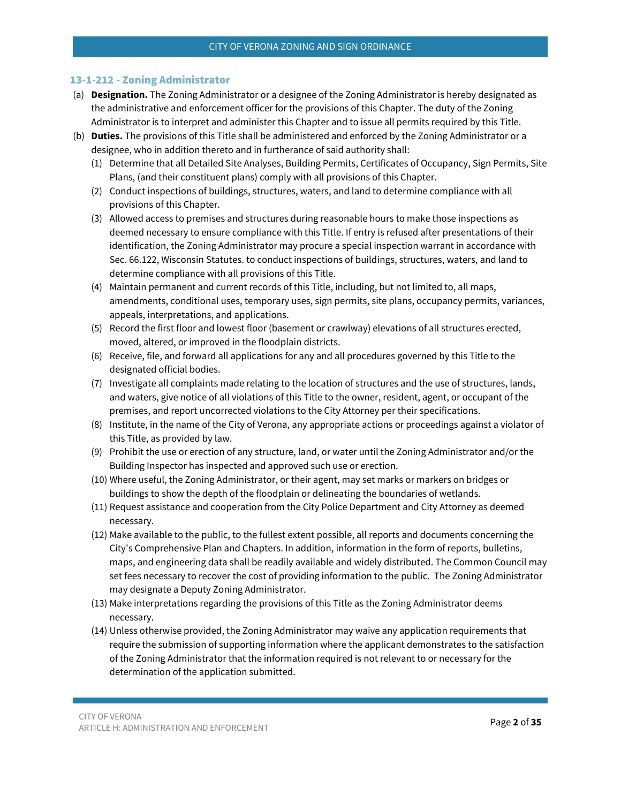### <span id="page-1-0"></span>13-1-212 - Zoning Administrator

- (a) **Designation.** The Zoning Administrator or a designee of the Zoning Administrator is hereby designated as the administrative and enforcement officer for the provisions of this Chapter. The duty of the Zoning Administrator is to interpret and administer this Chapter and to issue all permits required by this Title.
- (b) **Duties.** The provisions of this Title shall be administered and enforced by the Zoning Administrator or a designee, who in addition thereto and in furtherance of said authority shall:
	- (1) Determine that all Detailed Site Analyses, Building Permits, Certificates of Occupancy, Sign Permits, Site Plans, (and their constituent plans) comply with all provisions of this Chapter.
	- (2) Conduct inspections of buildings, structures, waters, and land to determine compliance with all provisions of this Chapter.
	- (3) Allowed access to premises and structures during reasonable hours to make those inspections as deemed necessary to ensure compliance with this Title. If entry is refused after presentations of their identification, the Zoning Administrator may procure a special inspection warrant in accordance with Sec. 66.122, Wisconsin Statutes. to conduct inspections of buildings, structures, waters, and land to determine compliance with all provisions of this Title.
	- (4) Maintain permanent and current records of this Title, including, but not limited to, all maps, amendments, conditional uses, temporary uses, sign permits, site plans, occupancy permits, variances, appeals, interpretations, and applications.
	- (5) Record the first floor and lowest floor (basement or crawlway) elevations of all structures erected, moved, altered, or improved in the floodplain districts.
	- (6) Receive, file, and forward all applications for any and all procedures governed by this Title to the designated official bodies.
	- (7) Investigate all complaints made relating to the location of structures and the use of structures, lands, and waters, give notice of all violations of this Title to the owner, resident, agent, or occupant of the premises, and report uncorrected violations to the City Attorney per their specifications.
	- (8) Institute, in the name of the City of Verona, any appropriate actions or proceedings against a violator of this Title, as provided by law.
	- (9) Prohibit the use or erection of any structure, land, or water until the Zoning Administrator and/or the Building Inspector has inspected and approved such use or erection.
	- (10) Where useful, the Zoning Administrator, or their agent, may set marks or markers on bridges or buildings to show the depth of the floodplain or delineating the boundaries of wetlands.
	- (11) Request assistance and cooperation from the City Police Department and City Attorney as deemed necessary.
	- (12) Make available to the public, to the fullest extent possible, all reports and documents concerning the City's Comprehensive Plan and Chapters. In addition, information in the form of reports, bulletins, maps, and engineering data shall be readily available and widely distributed. The Common Council may set fees necessary to recover the cost of providing information to the public. The Zoning Administrator may designate a Deputy Zoning Administrator.
	- (13) Make interpretations regarding the provisions of this Title as the Zoning Administrator deems necessary.
	- (14) Unless otherwise provided, the Zoning Administrator may waive any application requirements that require the submission of supporting information where the applicant demonstrates to the satisfaction of the Zoning Administrator that the information required is not relevant to or necessary for the determination of the application submitted.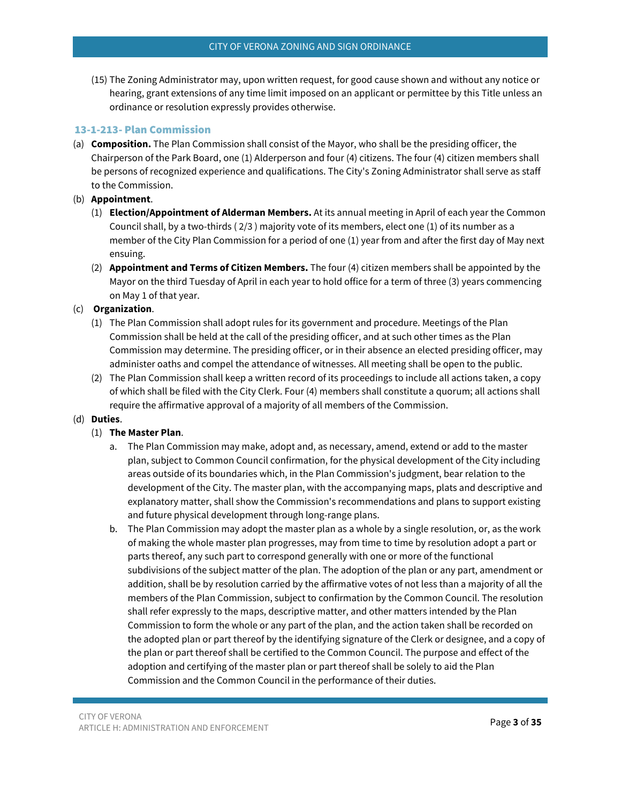(15) The Zoning Administrator may, upon written request, for good cause shown and without any notice or hearing, grant extensions of any time limit imposed on an applicant or permittee by this Title unless an ordinance or resolution expressly provides otherwise.

### <span id="page-2-0"></span>13-1-213- Plan Commission

(a) **Composition.** The Plan Commission shall consist of the Mayor, who shall be the presiding officer, the Chairperson of the Park Board, one (1) Alderperson and four (4) citizens. The four (4) citizen members shall be persons of recognized experience and qualifications. The City's Zoning Administrator shall serve as staff to the Commission.

#### (b) **Appointment**.

- (1) **Election/Appointment of Alderman Members.** At its annual meeting in April of each year the Common Council shall, by a two-thirds ( 2/3 ) majority vote of its members, elect one (1) of its number as a member of the City Plan Commission for a period of one (1) year from and after the first day of May next ensuing.
- (2) **Appointment and Terms of Citizen Members.** The four (4) citizen members shall be appointed by the Mayor on the third Tuesday of April in each year to hold office for a term of three (3) years commencing on May 1 of that year.

### (c) **Organization**.

- (1) The Plan Commission shall adopt rules for its government and procedure. Meetings of the Plan Commission shall be held at the call of the presiding officer, and at such other times as the Plan Commission may determine. The presiding officer, or in their absence an elected presiding officer, may administer oaths and compel the attendance of witnesses. All meeting shall be open to the public.
- (2) The Plan Commission shall keep a written record of its proceedings to include all actions taken, a copy of which shall be filed with the City Clerk. Four (4) members shall constitute a quorum; all actions shall require the affirmative approval of a majority of all members of the Commission.

#### (d) **Duties**.

### (1) **The Master Plan**.

- a. The Plan Commission may make, adopt and, as necessary, amend, extend or add to the master plan, subject to Common Council confirmation, for the physical development of the City including areas outside of its boundaries which, in the Plan Commission's judgment, bear relation to the development of the City. The master plan, with the accompanying maps, plats and descriptive and explanatory matter, shall show the Commission's recommendations and plans to support existing and future physical development through long-range plans.
- b. The Plan Commission may adopt the master plan as a whole by a single resolution, or, as the work of making the whole master plan progresses, may from time to time by resolution adopt a part or parts thereof, any such part to correspond generally with one or more of the functional subdivisions of the subject matter of the plan. The adoption of the plan or any part, amendment or addition, shall be by resolution carried by the affirmative votes of not less than a majority of all the members of the Plan Commission, subject to confirmation by the Common Council. The resolution shall refer expressly to the maps, descriptive matter, and other matters intended by the Plan Commission to form the whole or any part of the plan, and the action taken shall be recorded on the adopted plan or part thereof by the identifying signature of the Clerk or designee, and a copy of the plan or part thereof shall be certified to the Common Council. The purpose and effect of the adoption and certifying of the master plan or part thereof shall be solely to aid the Plan Commission and the Common Council in the performance of their duties.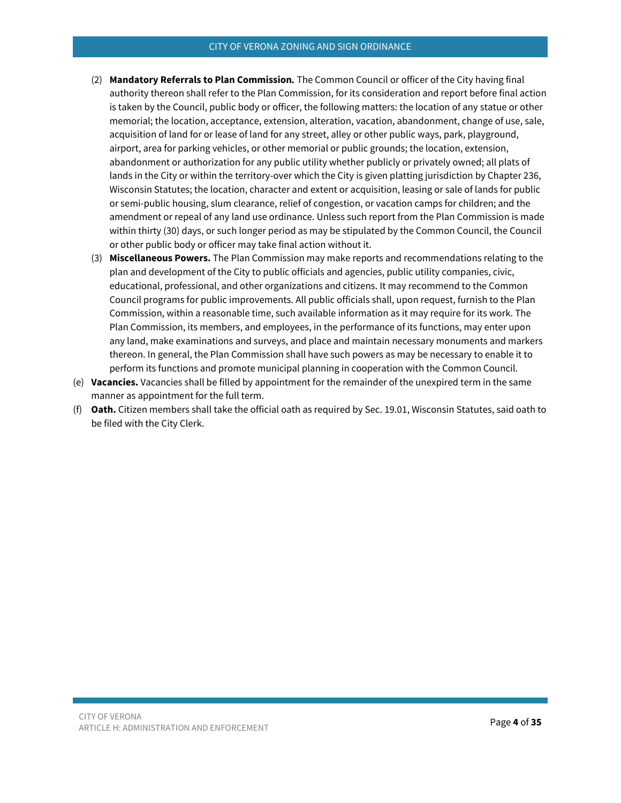#### CITY OF VERONA ZONING AND SIGN ORDINANCE

- (2) **Mandatory Referrals to Plan Commission***.* The Common Council or officer of the City having final authority thereon shall refer to the Plan Commission, for its consideration and report before final action is taken by the Council, public body or officer, the following matters: the location of any statue or other memorial; the location, acceptance, extension, alteration, vacation, abandonment, change of use, sale, acquisition of land for or lease of land for any street, alley or other public ways, park, playground, airport, area for parking vehicles, or other memorial or public grounds; the location, extension, abandonment or authorization for any public utility whether publicly or privately owned; all plats of lands in the City or within the territory-over which the City is given platting jurisdiction by Chapter 236, Wisconsin Statutes; the location, character and extent or acquisition, leasing or sale of lands for public or semi-public housing, slum clearance, relief of congestion, or vacation camps for children; and the amendment or repeal of any land use ordinance. Unless such report from the Plan Commission is made within thirty (30) days, or such longer period as may be stipulated by the Common Council, the Council or other public body or officer may take final action without it.
- (3) **Miscellaneous Powers.** The Plan Commission may make reports and recommendations relating to the plan and development of the City to public officials and agencies, public utility companies, civic, educational, professional, and other organizations and citizens. It may recommend to the Common Council programs for public improvements. All public officials shall, upon request, furnish to the Plan Commission, within a reasonable time, such available information as it may require for its work. The Plan Commission, its members, and employees, in the performance of its functions, may enter upon any land, make examinations and surveys, and place and maintain necessary monuments and markers thereon. In general, the Plan Commission shall have such powers as may be necessary to enable it to perform its functions and promote municipal planning in cooperation with the Common Council.
- (e) **Vacancies.** Vacancies shall be filled by appointment for the remainder of the unexpired term in the same manner as appointment for the full term.
- (f) **Oath.** Citizen members shall take the official oath as required by Sec. 19.01, Wisconsin Statutes, said oath to be filed with the City Clerk.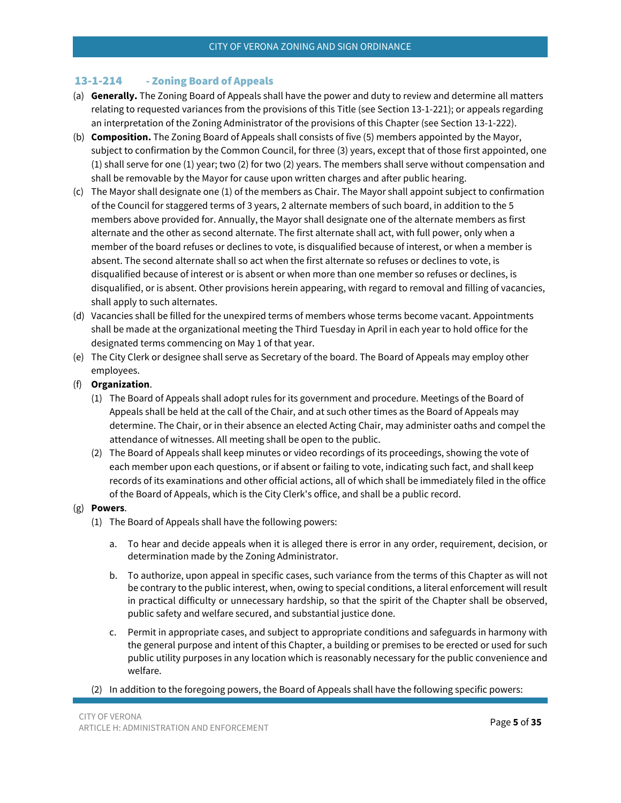## <span id="page-4-0"></span>13-1-214 - Zoning Board of Appeals

- (a) **Generally.** The Zoning Board of Appeals shall have the power and duty to review and determine all matters relating to requested variances from the provisions of this Title (see Section 13-1-221); or appeals regarding an interpretation of the Zoning Administrator of the provisions of this Chapter (see Section 13-1-222).
- (b) **Composition.** The Zoning Board of Appeals shall consists of five (5) members appointed by the Mayor, subject to confirmation by the Common Council, for three (3) years, except that of those first appointed, one (1) shall serve for one (1) year; two (2) for two (2) years. The members shall serve without compensation and shall be removable by the Mayor for cause upon written charges and after public hearing.
- (c) The Mayor shall designate one (1) of the members as Chair. The Mayor shall appoint subject to confirmation of the Council for staggered terms of 3 years, 2 alternate members of such board, in addition to the 5 members above provided for. Annually, the Mayor shall designate one of the alternate members as first alternate and the other as second alternate. The first alternate shall act, with full power, only when a member of the board refuses or declines to vote, is disqualified because of interest, or when a member is absent. The second alternate shall so act when the first alternate so refuses or declines to vote, is disqualified because of interest or is absent or when more than one member so refuses or declines, is disqualified, or is absent. Other provisions herein appearing, with regard to removal and filling of vacancies, shall apply to such alternates.
- (d) Vacancies shall be filled for the unexpired terms of members whose terms become vacant. Appointments shall be made at the organizational meeting the Third Tuesday in April in each year to hold office for the designated terms commencing on May 1 of that year.
- (e) The City Clerk or designee shall serve as Secretary of the board. The Board of Appeals may employ other employees.
- (f) **Organization**.
	- (1) The Board of Appeals shall adopt rules for its government and procedure. Meetings of the Board of Appeals shall be held at the call of the Chair, and at such other times as the Board of Appeals may determine. The Chair, or in their absence an elected Acting Chair, may administer oaths and compel the attendance of witnesses. All meeting shall be open to the public.
	- (2) The Board of Appeals shall keep minutes or video recordings of its proceedings, showing the vote of each member upon each questions, or if absent or failing to vote, indicating such fact, and shall keep records of its examinations and other official actions, all of which shall be immediately filed in the office of the Board of Appeals, which is the City Clerk's office, and shall be a public record.

### (g) **Powers**.

- (1) The Board of Appeals shall have the following powers:
	- a. To hear and decide appeals when it is alleged there is error in any order, requirement, decision, or determination made by the Zoning Administrator.
	- b. To authorize, upon appeal in specific cases, such variance from the terms of this Chapter as will not be contrary to the public interest, when, owing to special conditions, a literal enforcement will result in practical difficulty or unnecessary hardship, so that the spirit of the Chapter shall be observed, public safety and welfare secured, and substantial justice done.
	- c. Permit in appropriate cases, and subject to appropriate conditions and safeguards in harmony with the general purpose and intent of this Chapter, a building or premises to be erected or used for such public utility purposes in any location which is reasonably necessary for the public convenience and welfare.
- (2) In addition to the foregoing powers, the Board of Appeals shall have the following specific powers: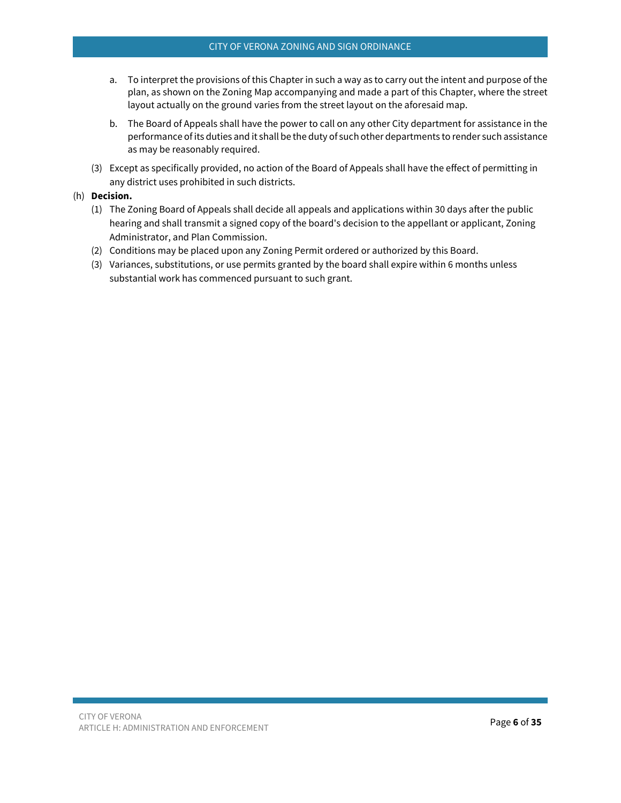- a. To interpret the provisions of this Chapter in such a way as to carry out the intent and purpose of the plan, as shown on the Zoning Map accompanying and made a part of this Chapter, where the street layout actually on the ground varies from the street layout on the aforesaid map.
- b. The Board of Appeals shall have the power to call on any other City department for assistance in the performance of its duties and it shall be the duty of such other departments to render such assistance as may be reasonably required.
- (3) Except as specifically provided, no action of the Board of Appeals shall have the effect of permitting in any district uses prohibited in such districts.

### (h) **Decision.**

- (1) The Zoning Board of Appeals shall decide all appeals and applications within 30 days after the public hearing and shall transmit a signed copy of the board's decision to the appellant or applicant, Zoning Administrator, and Plan Commission.
- (2) Conditions may be placed upon any Zoning Permit ordered or authorized by this Board.
- (3) Variances, substitutions, or use permits granted by the board shall expire within 6 months unless substantial work has commenced pursuant to such grant.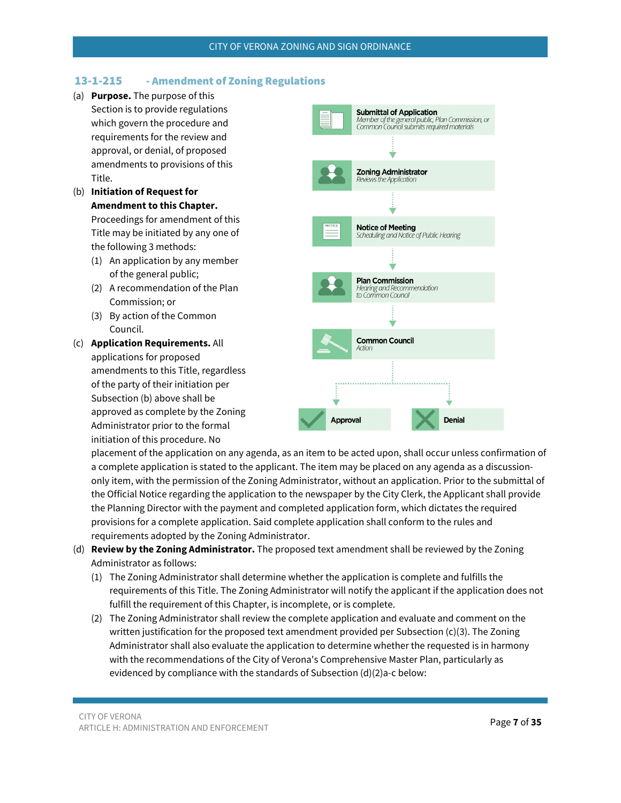## <span id="page-6-0"></span>13-1-215 - Amendment of Zoning Regulations

- (a) **Purpose.** The purpose of this Section is to provide regulations which govern the procedure and requirements for the review and approval, or denial, of proposed amendments to provisions of this Title.
- (b) **Initiation of Request for Amendment to this Chapter.** Proceedings for amendment of this Title may be initiated by any one of the following 3 methods:
	- (1) An application by any member of the general public;
	- (2) A recommendation of the Plan Commission; or
	- (3) By action of the Common Council.
- (c) **Application Requirements.** All applications for proposed amendments to this Title, regardless of the party of their initiation per Subsection (b) above shall be approved as complete by the Zoning Administrator prior to the formal initiation of this procedure. No



placement of the application on any agenda, as an item to be acted upon, shall occur unless confirmation of a complete application is stated to the applicant. The item may be placed on any agenda as a discussiononly item, with the permission of the Zoning Administrator, without an application. Prior to the submittal of the Official Notice regarding the application to the newspaper by the City Clerk, the Applicant shall provide the Planning Director with the payment and completed application form, which dictates the required provisions for a complete application. Said complete application shall conform to the rules and requirements adopted by the Zoning Administrator.

- (d) **Review by the Zoning Administrator.** The proposed text amendment shall be reviewed by the Zoning Administrator as follows:
	- (1) The Zoning Administrator shall determine whether the application is complete and fulfills the requirements of this Title. The Zoning Administrator will notify the applicant if the application does not fulfill the requirement of this Chapter, is incomplete, or is complete.
	- (2) The Zoning Administrator shall review the complete application and evaluate and comment on the written justification for the proposed text amendment provided per Subsection (c)(3). The Zoning Administrator shall also evaluate the application to determine whether the requested is in harmony with the recommendations of the City of Verona's Comprehensive Master Plan, particularly as evidenced by compliance with the standards of Subsection (d)(2)a-c below: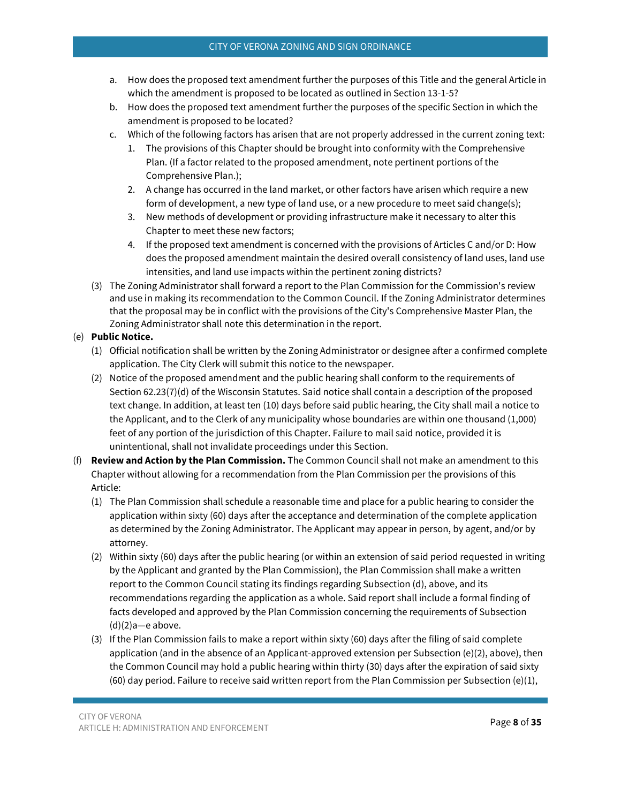- a. How does the proposed text amendment further the purposes of this Title and the general Article in which the amendment is proposed to be located as outlined in Section 13-1-5?
- b. How does the proposed text amendment further the purposes of the specific Section in which the amendment is proposed to be located?
- c. Which of the following factors has arisen that are not properly addressed in the current zoning text:
	- 1. The provisions of this Chapter should be brought into conformity with the Comprehensive Plan. (If a factor related to the proposed amendment, note pertinent portions of the Comprehensive Plan.);
	- 2. A change has occurred in the land market, or other factors have arisen which require a new form of development, a new type of land use, or a new procedure to meet said change(s);
	- 3. New methods of development or providing infrastructure make it necessary to alter this Chapter to meet these new factors;
	- 4. If the proposed text amendment is concerned with the provisions of Articles C and/or D: How does the proposed amendment maintain the desired overall consistency of land uses, land use intensities, and land use impacts within the pertinent zoning districts?
- (3) The Zoning Administrator shall forward a report to the Plan Commission for the Commission's review and use in making its recommendation to the Common Council. If the Zoning Administrator determines that the proposal may be in conflict with the provisions of the City's Comprehensive Master Plan, the Zoning Administrator shall note this determination in the report.

## (e) **Public Notice.**

- (1) Official notification shall be written by the Zoning Administrator or designee after a confirmed complete application. The City Clerk will submit this notice to the newspaper.
- (2) Notice of the proposed amendment and the public hearing shall conform to the requirements of Section 62.23(7)(d) of the Wisconsin Statutes. Said notice shall contain a description of the proposed text change. In addition, at least ten (10) days before said public hearing, the City shall mail a notice to the Applicant, and to the Clerk of any municipality whose boundaries are within one thousand (1,000) feet of any portion of the jurisdiction of this Chapter. Failure to mail said notice, provided it is unintentional, shall not invalidate proceedings under this Section.
- (f) **Review and Action by the Plan Commission.** The Common Council shall not make an amendment to this Chapter without allowing for a recommendation from the Plan Commission per the provisions of this Article:
	- (1) The Plan Commission shall schedule a reasonable time and place for a public hearing to consider the application within sixty (60) days after the acceptance and determination of the complete application as determined by the Zoning Administrator. The Applicant may appear in person, by agent, and/or by attorney.
	- (2) Within sixty (60) days after the public hearing (or within an extension of said period requested in writing by the Applicant and granted by the Plan Commission), the Plan Commission shall make a written report to the Common Council stating its findings regarding Subsection (d), above, and its recommendations regarding the application as a whole. Said report shall include a formal finding of facts developed and approved by the Plan Commission concerning the requirements of Subsection (d)(2)a—e above.
	- (3) If the Plan Commission fails to make a report within sixty (60) days after the filing of said complete application (and in the absence of an Applicant-approved extension per Subsection (e)(2), above), then the Common Council may hold a public hearing within thirty (30) days after the expiration of said sixty (60) day period. Failure to receive said written report from the Plan Commission per Subsection (e)(1),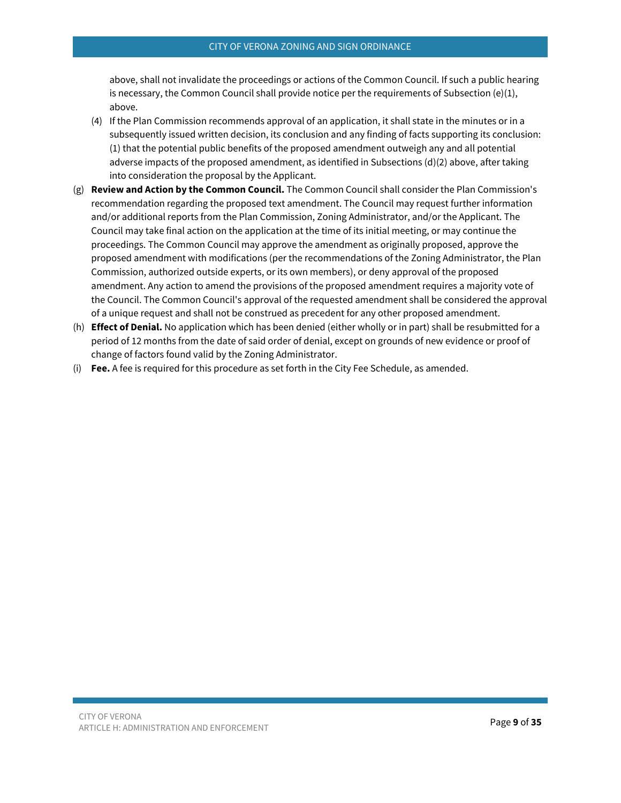above, shall not invalidate the proceedings or actions of the Common Council. If such a public hearing is necessary, the Common Council shall provide notice per the requirements of Subsection  $(e)(1)$ , above.

- (4) If the Plan Commission recommends approval of an application, it shall state in the minutes or in a subsequently issued written decision, its conclusion and any finding of facts supporting its conclusion: (1) that the potential public benefits of the proposed amendment outweigh any and all potential adverse impacts of the proposed amendment, as identified in Subsections (d)(2) above, after taking into consideration the proposal by the Applicant.
- (g) **Review and Action by the Common Council.** The Common Council shall consider the Plan Commission's recommendation regarding the proposed text amendment. The Council may request further information and/or additional reports from the Plan Commission, Zoning Administrator, and/or the Applicant. The Council may take final action on the application at the time of its initial meeting, or may continue the proceedings. The Common Council may approve the amendment as originally proposed, approve the proposed amendment with modifications (per the recommendations of the Zoning Administrator, the Plan Commission, authorized outside experts, or its own members), or deny approval of the proposed amendment. Any action to amend the provisions of the proposed amendment requires a majority vote of the Council. The Common Council's approval of the requested amendment shall be considered the approval of a unique request and shall not be construed as precedent for any other proposed amendment.
- (h) **Effect of Denial.** No application which has been denied (either wholly or in part) shall be resubmitted for a period of 12 months from the date of said order of denial, except on grounds of new evidence or proof of change of factors found valid by the Zoning Administrator.
- (i) **Fee.** A fee is required for this procedure as set forth in the City Fee Schedule, as amended.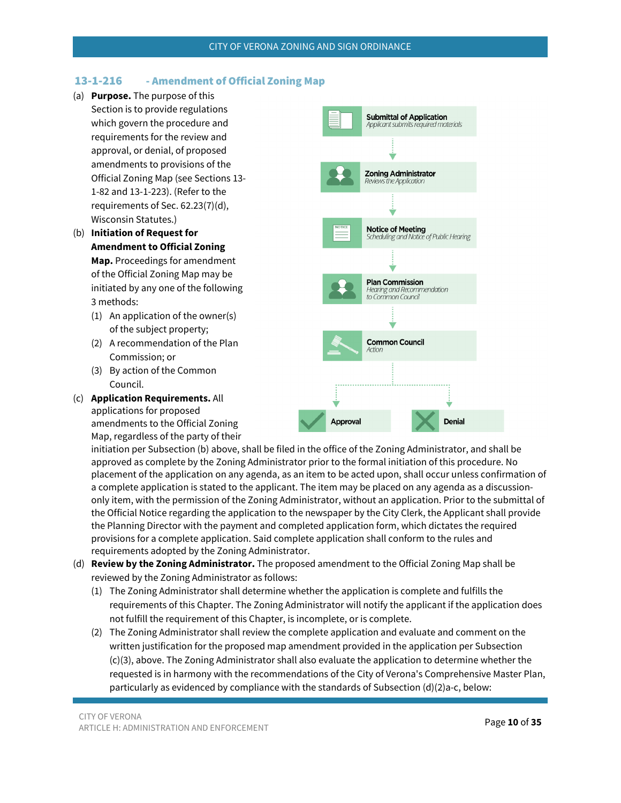## <span id="page-9-0"></span>13-1-216 - Amendment of Official Zoning Map

- (a) **Purpose.** The purpose of this Section is to provide regulations which govern the procedure and requirements for the review and approval, or denial, of proposed amendments to provisions of the Official Zoning Map (see Sections 13- 1-82 and 13-1-223). (Refer to the requirements of Sec. 62.23(7)(d), Wisconsin Statutes.)
- (b) **Initiation of Request for Amendment to Official Zoning Map.** Proceedings for amendment of the Official Zoning Map may be initiated by any one of the following 3 methods:
	- (1) An application of the owner(s) of the subject property;
	- (2) A recommendation of the Plan Commission; or
	- (3) By action of the Common Council.
- (c) **Application Requirements.** All applications for proposed amendments to the Official Zoning Map, regardless of the party of their



initiation per Subsection (b) above, shall be filed in the office of the Zoning Administrator, and shall be approved as complete by the Zoning Administrator prior to the formal initiation of this procedure. No placement of the application on any agenda, as an item to be acted upon, shall occur unless confirmation of a complete application is stated to the applicant. The item may be placed on any agenda as a discussiononly item, with the permission of the Zoning Administrator, without an application. Prior to the submittal of the Official Notice regarding the application to the newspaper by the City Clerk, the Applicant shall provide the Planning Director with the payment and completed application form, which dictates the required provisions for a complete application. Said complete application shall conform to the rules and requirements adopted by the Zoning Administrator.

- (d) **Review by the Zoning Administrator.** The proposed amendment to the Official Zoning Map shall be reviewed by the Zoning Administrator as follows:
	- (1) The Zoning Administrator shall determine whether the application is complete and fulfills the requirements of this Chapter. The Zoning Administrator will notify the applicant if the application does not fulfill the requirement of this Chapter, is incomplete, or is complete.
	- (2) The Zoning Administrator shall review the complete application and evaluate and comment on the written justification for the proposed map amendment provided in the application per Subsection (c)(3), above. The Zoning Administrator shall also evaluate the application to determine whether the requested is in harmony with the recommendations of the City of Verona's Comprehensive Master Plan, particularly as evidenced by compliance with the standards of Subsection (d)(2)a-c, below: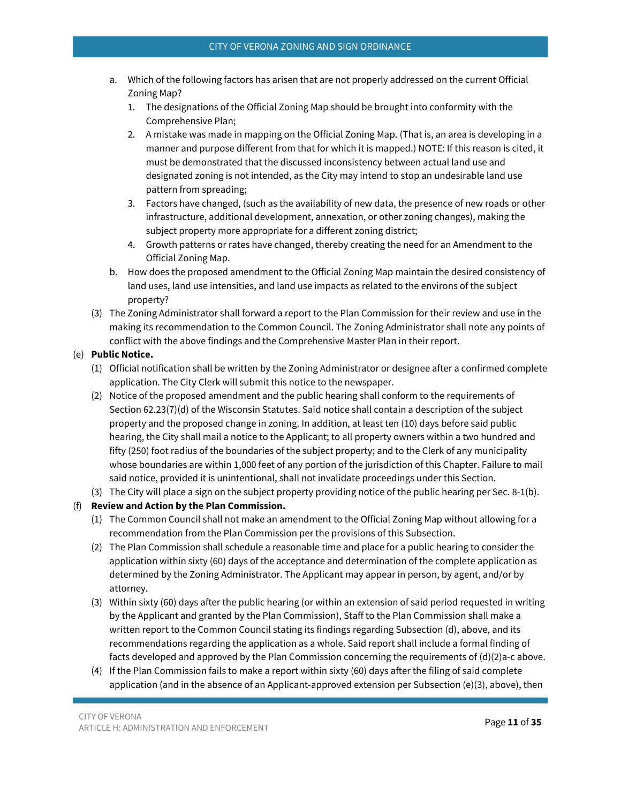- a. Which of the following factors has arisen that are not properly addressed on the current Official Zoning Map?
	- 1. The designations of the Official Zoning Map should be brought into conformity with the Comprehensive Plan;
	- 2. A mistake was made in mapping on the Official Zoning Map. (That is, an area is developing in a manner and purpose different from that for which it is mapped.) NOTE: If this reason is cited, it must be demonstrated that the discussed inconsistency between actual land use and designated zoning is not intended, as the City may intend to stop an undesirable land use pattern from spreading;
	- 3. Factors have changed, (such as the availability of new data, the presence of new roads or other infrastructure, additional development, annexation, or other zoning changes), making the subject property more appropriate for a different zoning district;
	- 4. Growth patterns or rates have changed, thereby creating the need for an Amendment to the Official Zoning Map.
- b. How does the proposed amendment to the Official Zoning Map maintain the desired consistency of land uses, land use intensities, and land use impacts as related to the environs of the subject property?
- (3) The Zoning Administrator shall forward a report to the Plan Commission for their review and use in the making its recommendation to the Common Council. The Zoning Administrator shall note any points of conflict with the above findings and the Comprehensive Master Plan in their report.

## (e) **Public Notice.**

- (1) Official notification shall be written by the Zoning Administrator or designee after a confirmed complete application. The City Clerk will submit this notice to the newspaper.
- (2) Notice of the proposed amendment and the public hearing shall conform to the requirements of Section 62.23(7)(d) of the Wisconsin Statutes. Said notice shall contain a description of the subject property and the proposed change in zoning. In addition, at least ten (10) days before said public hearing, the City shall mail a notice to the Applicant; to all property owners within a two hundred and fifty (250) foot radius of the boundaries of the subject property; and to the Clerk of any municipality whose boundaries are within 1,000 feet of any portion of the jurisdiction of this Chapter. Failure to mail said notice, provided it is unintentional, shall not invalidate proceedings under this Section.
- (3) The City will place a sign on the subject property providing notice of the public hearing per Sec. 8-1(b).

## (f) **Review and Action by the Plan Commission.**

- (1) The Common Council shall not make an amendment to the Official Zoning Map without allowing for a recommendation from the Plan Commission per the provisions of this Subsection.
- (2) The Plan Commission shall schedule a reasonable time and place for a public hearing to consider the application within sixty (60) days of the acceptance and determination of the complete application as determined by the Zoning Administrator. The Applicant may appear in person, by agent, and/or by attorney.
- (3) Within sixty (60) days after the public hearing (or within an extension of said period requested in writing by the Applicant and granted by the Plan Commission), Staff to the Plan Commission shall make a written report to the Common Council stating its findings regarding Subsection (d), above, and its recommendations regarding the application as a whole. Said report shall include a formal finding of facts developed and approved by the Plan Commission concerning the requirements of (d)(2)a-c above.
- (4) If the Plan Commission fails to make a report within sixty (60) days after the filing of said complete application (and in the absence of an Applicant-approved extension per Subsection (e)(3), above), then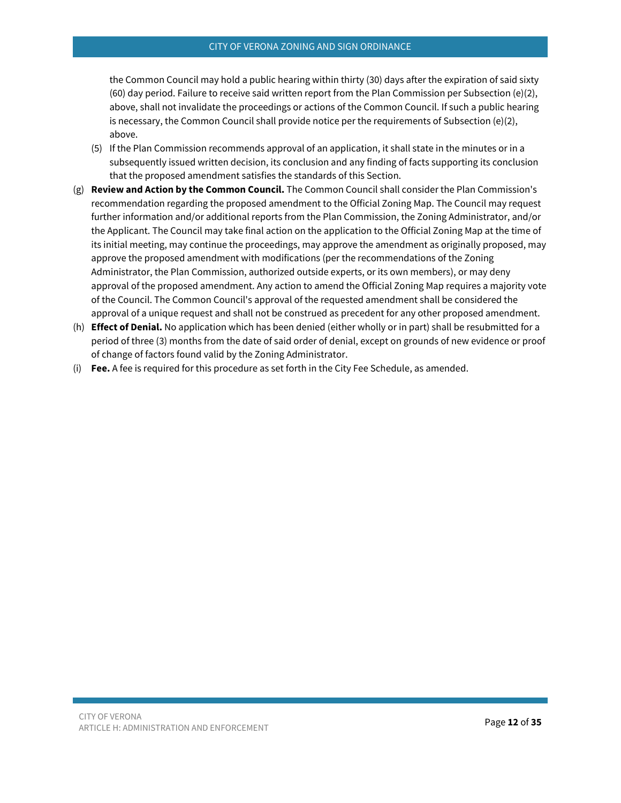the Common Council may hold a public hearing within thirty (30) days after the expiration of said sixty (60) day period. Failure to receive said written report from the Plan Commission per Subsection (e)(2), above, shall not invalidate the proceedings or actions of the Common Council. If such a public hearing is necessary, the Common Council shall provide notice per the requirements of Subsection  $(e)(2)$ , above.

- (5) If the Plan Commission recommends approval of an application, it shall state in the minutes or in a subsequently issued written decision, its conclusion and any finding of facts supporting its conclusion that the proposed amendment satisfies the standards of this Section.
- (g) **Review and Action by the Common Council.** The Common Council shall consider the Plan Commission's recommendation regarding the proposed amendment to the Official Zoning Map. The Council may request further information and/or additional reports from the Plan Commission, the Zoning Administrator, and/or the Applicant. The Council may take final action on the application to the Official Zoning Map at the time of its initial meeting, may continue the proceedings, may approve the amendment as originally proposed, may approve the proposed amendment with modifications (per the recommendations of the Zoning Administrator, the Plan Commission, authorized outside experts, or its own members), or may deny approval of the proposed amendment. Any action to amend the Official Zoning Map requires a majority vote of the Council. The Common Council's approval of the requested amendment shall be considered the approval of a unique request and shall not be construed as precedent for any other proposed amendment.
- (h) **Effect of Denial.** No application which has been denied (either wholly or in part) shall be resubmitted for a period of three (3) months from the date of said order of denial, except on grounds of new evidence or proof of change of factors found valid by the Zoning Administrator.
- (i) **Fee.** A fee is required for this procedure as set forth in the City Fee Schedule, as amended.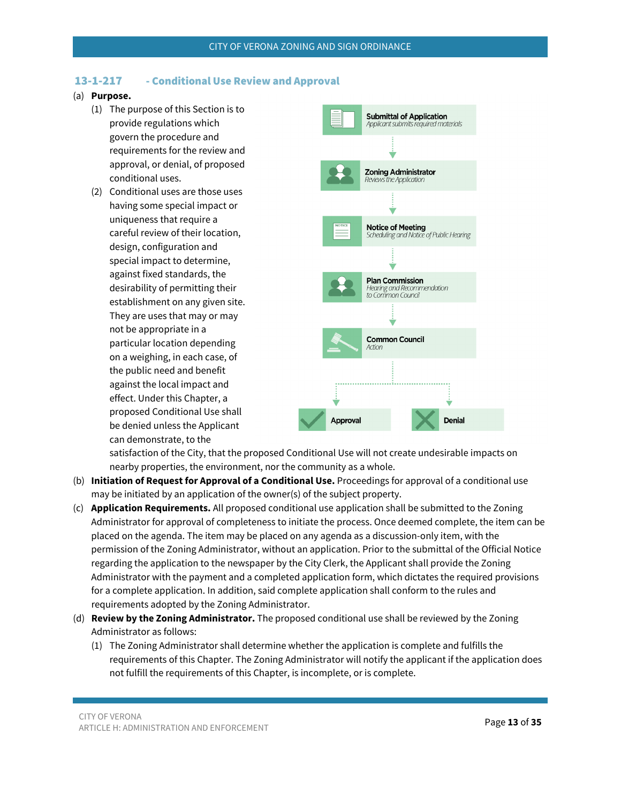## <span id="page-12-0"></span>13-1-217 - Conditional Use Review and Approval

### (a) **Purpose.**

- (1) The purpose of this Section is to provide regulations which govern the procedure and requirements for the review and approval, or denial, of proposed conditional uses.
- (2) Conditional uses are those uses having some special impact or uniqueness that require a careful review of their location, design, configuration and special impact to determine, against fixed standards, the desirability of permitting their establishment on any given site. They are uses that may or may not be appropriate in a particular location depending on a weighing, in each case, of the public need and benefit against the local impact and effect. Under this Chapter, a proposed Conditional Use shall be denied unless the Applicant can demonstrate, to the



satisfaction of the City, that the proposed Conditional Use will not create undesirable impacts on nearby properties, the environment, nor the community as a whole.

- (b) **Initiation of Request for Approval of a Conditional Use.** Proceedings for approval of a conditional use may be initiated by an application of the owner(s) of the subject property.
- (c) **Application Requirements.** All proposed conditional use application shall be submitted to the Zoning Administrator for approval of completeness to initiate the process. Once deemed complete, the item can be placed on the agenda. The item may be placed on any agenda as a discussion-only item, with the permission of the Zoning Administrator, without an application. Prior to the submittal of the Official Notice regarding the application to the newspaper by the City Clerk, the Applicant shall provide the Zoning Administrator with the payment and a completed application form, which dictates the required provisions for a complete application. In addition, said complete application shall conform to the rules and requirements adopted by the Zoning Administrator.
- (d) **Review by the Zoning Administrator.** The proposed conditional use shall be reviewed by the Zoning Administrator as follows:
	- (1) The Zoning Administrator shall determine whether the application is complete and fulfills the requirements of this Chapter. The Zoning Administrator will notify the applicant if the application does not fulfill the requirements of this Chapter, is incomplete, or is complete.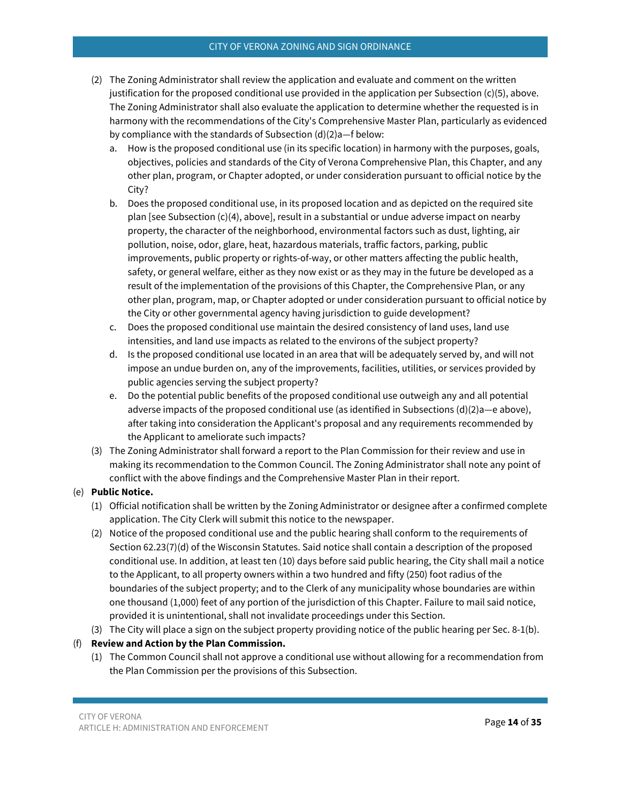### CITY OF VERONA ZONING AND SIGN ORDINANCE

- (2) The Zoning Administrator shall review the application and evaluate and comment on the written justification for the proposed conditional use provided in the application per Subsection  $(c)(5)$ , above. The Zoning Administrator shall also evaluate the application to determine whether the requested is in harmony with the recommendations of the City's Comprehensive Master Plan, particularly as evidenced by compliance with the standards of Subsection (d)(2)a—f below:
	- a. How is the proposed conditional use (in its specific location) in harmony with the purposes, goals, objectives, policies and standards of the City of Verona Comprehensive Plan, this Chapter, and any other plan, program, or Chapter adopted, or under consideration pursuant to official notice by the City?
	- b. Does the proposed conditional use, in its proposed location and as depicted on the required site plan [see Subsection (c)(4), above], result in a substantial or undue adverse impact on nearby property, the character of the neighborhood, environmental factors such as dust, lighting, air pollution, noise, odor, glare, heat, hazardous materials, traffic factors, parking, public improvements, public property or rights-of-way, or other matters affecting the public health, safety, or general welfare, either as they now exist or as they may in the future be developed as a result of the implementation of the provisions of this Chapter, the Comprehensive Plan, or any other plan, program, map, or Chapter adopted or under consideration pursuant to official notice by the City or other governmental agency having jurisdiction to guide development?
	- c. Does the proposed conditional use maintain the desired consistency of land uses, land use intensities, and land use impacts as related to the environs of the subject property?
	- d. Is the proposed conditional use located in an area that will be adequately served by, and will not impose an undue burden on, any of the improvements, facilities, utilities, or services provided by public agencies serving the subject property?
	- e. Do the potential public benefits of the proposed conditional use outweigh any and all potential adverse impacts of the proposed conditional use (as identified in Subsections (d)(2)a—e above), after taking into consideration the Applicant's proposal and any requirements recommended by the Applicant to ameliorate such impacts?
- (3) The Zoning Administrator shall forward a report to the Plan Commission for their review and use in making its recommendation to the Common Council. The Zoning Administrator shall note any point of conflict with the above findings and the Comprehensive Master Plan in their report.

## (e) **Public Notice.**

- (1) Official notification shall be written by the Zoning Administrator or designee after a confirmed complete application. The City Clerk will submit this notice to the newspaper.
- (2) Notice of the proposed conditional use and the public hearing shall conform to the requirements of Section 62.23(7)(d) of the Wisconsin Statutes. Said notice shall contain a description of the proposed conditional use. In addition, at least ten (10) days before said public hearing, the City shall mail a notice to the Applicant, to all property owners within a two hundred and fifty (250) foot radius of the boundaries of the subject property; and to the Clerk of any municipality whose boundaries are within one thousand (1,000) feet of any portion of the jurisdiction of this Chapter. Failure to mail said notice, provided it is unintentional, shall not invalidate proceedings under this Section.
- (3) The City will place a sign on the subject property providing notice of the public hearing per Sec. 8-1(b).

## (f) **Review and Action by the Plan Commission.**

(1) The Common Council shall not approve a conditional use without allowing for a recommendation from the Plan Commission per the provisions of this Subsection.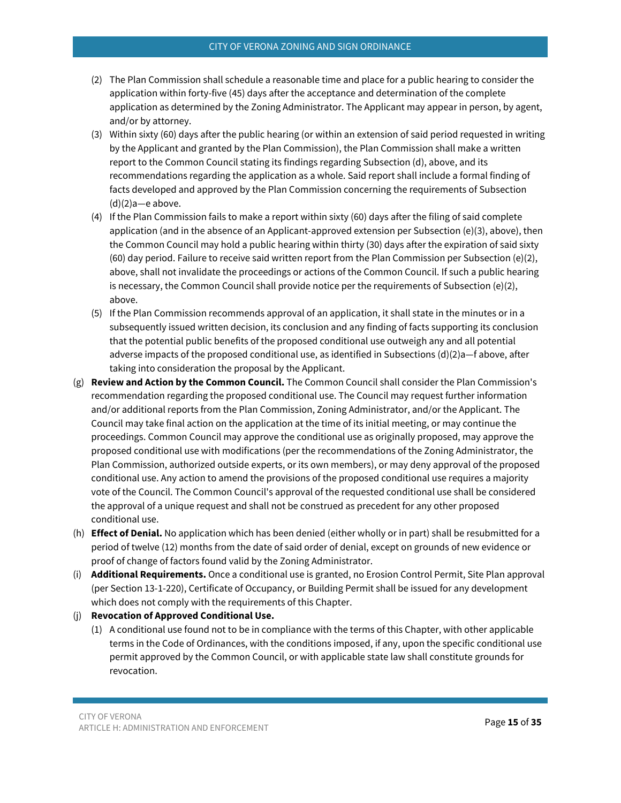### CITY OF VERONA ZONING AND SIGN ORDINANCE

- (2) The Plan Commission shall schedule a reasonable time and place for a public hearing to consider the application within forty-five (45) days after the acceptance and determination of the complete application as determined by the Zoning Administrator. The Applicant may appear in person, by agent, and/or by attorney.
- (3) Within sixty (60) days after the public hearing (or within an extension of said period requested in writing by the Applicant and granted by the Plan Commission), the Plan Commission shall make a written report to the Common Council stating its findings regarding Subsection (d), above, and its recommendations regarding the application as a whole. Said report shall include a formal finding of facts developed and approved by the Plan Commission concerning the requirements of Subsection (d)(2)a—e above.
- (4) If the Plan Commission fails to make a report within sixty (60) days after the filing of said complete application (and in the absence of an Applicant-approved extension per Subsection (e)(3), above), then the Common Council may hold a public hearing within thirty (30) days after the expiration of said sixty (60) day period. Failure to receive said written report from the Plan Commission per Subsection (e)(2), above, shall not invalidate the proceedings or actions of the Common Council. If such a public hearing is necessary, the Common Council shall provide notice per the requirements of Subsection (e)(2), above.
- (5) If the Plan Commission recommends approval of an application, it shall state in the minutes or in a subsequently issued written decision, its conclusion and any finding of facts supporting its conclusion that the potential public benefits of the proposed conditional use outweigh any and all potential adverse impacts of the proposed conditional use, as identified in Subsections (d)(2)a—f above, after taking into consideration the proposal by the Applicant.
- (g) **Review and Action by the Common Council.** The Common Council shall consider the Plan Commission's recommendation regarding the proposed conditional use. The Council may request further information and/or additional reports from the Plan Commission, Zoning Administrator, and/or the Applicant. The Council may take final action on the application at the time of its initial meeting, or may continue the proceedings. Common Council may approve the conditional use as originally proposed, may approve the proposed conditional use with modifications (per the recommendations of the Zoning Administrator, the Plan Commission, authorized outside experts, or its own members), or may deny approval of the proposed conditional use. Any action to amend the provisions of the proposed conditional use requires a majority vote of the Council. The Common Council's approval of the requested conditional use shall be considered the approval of a unique request and shall not be construed as precedent for any other proposed conditional use.
- (h) **Effect of Denial.** No application which has been denied (either wholly or in part) shall be resubmitted for a period of twelve (12) months from the date of said order of denial, except on grounds of new evidence or proof of change of factors found valid by the Zoning Administrator.
- (i) **Additional Requirements.** Once a conditional use is granted, no Erosion Control Permit, Site Plan approval (per Section 13-1-220), Certificate of Occupancy, or Building Permit shall be issued for any development which does not comply with the requirements of this Chapter.

### (j) **Revocation of Approved Conditional Use.**

(1) A conditional use found not to be in compliance with the terms of this Chapter, with other applicable terms in the Code of Ordinances, with the conditions imposed, if any, upon the specific conditional use permit approved by the Common Council, or with applicable state law shall constitute grounds for revocation.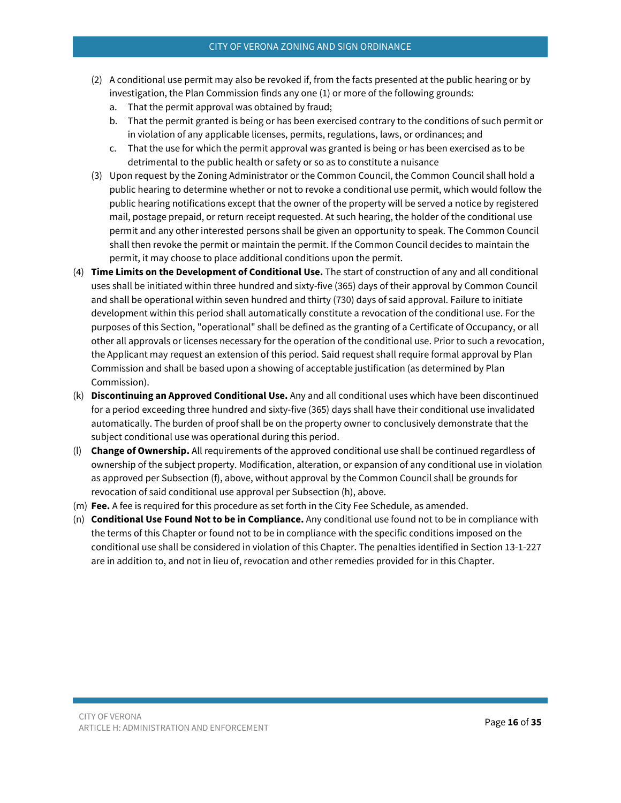- (2) A conditional use permit may also be revoked if, from the facts presented at the public hearing or by investigation, the Plan Commission finds any one (1) or more of the following grounds:
	- a. That the permit approval was obtained by fraud;
	- b. That the permit granted is being or has been exercised contrary to the conditions of such permit or in violation of any applicable licenses, permits, regulations, laws, or ordinances; and
	- c. That the use for which the permit approval was granted is being or has been exercised as to be detrimental to the public health or safety or so as to constitute a nuisance
- (3) Upon request by the Zoning Administrator or the Common Council, the Common Council shall hold a public hearing to determine whether or not to revoke a conditional use permit, which would follow the public hearing notifications except that the owner of the property will be served a notice by registered mail, postage prepaid, or return receipt requested. At such hearing, the holder of the conditional use permit and any other interested persons shall be given an opportunity to speak. The Common Council shall then revoke the permit or maintain the permit. If the Common Council decides to maintain the permit, it may choose to place additional conditions upon the permit.
- (4) **Time Limits on the Development of Conditional Use.** The start of construction of any and all conditional uses shall be initiated within three hundred and sixty-five (365) days of their approval by Common Council and shall be operational within seven hundred and thirty (730) days of said approval. Failure to initiate development within this period shall automatically constitute a revocation of the conditional use. For the purposes of this Section, "operational" shall be defined as the granting of a Certificate of Occupancy, or all other all approvals or licenses necessary for the operation of the conditional use. Prior to such a revocation, the Applicant may request an extension of this period. Said request shall require formal approval by Plan Commission and shall be based upon a showing of acceptable justification (as determined by Plan Commission).
- (k) **Discontinuing an Approved Conditional Use.** Any and all conditional uses which have been discontinued for a period exceeding three hundred and sixty-five (365) days shall have their conditional use invalidated automatically. The burden of proof shall be on the property owner to conclusively demonstrate that the subject conditional use was operational during this period.
- (l) **Change of Ownership.** All requirements of the approved conditional use shall be continued regardless of ownership of the subject property. Modification, alteration, or expansion of any conditional use in violation as approved per Subsection (f), above, without approval by the Common Council shall be grounds for revocation of said conditional use approval per Subsection (h), above.
- (m) **Fee.** A fee is required for this procedure as set forth in the City Fee Schedule, as amended.
- (n) **Conditional Use Found Not to be in Compliance.** Any conditional use found not to be in compliance with the terms of this Chapter or found not to be in compliance with the specific conditions imposed on the conditional use shall be considered in violation of this Chapter. The penalties identified in Section 13-1-227 are in addition to, and not in lieu of, revocation and other remedies provided for in this Chapter.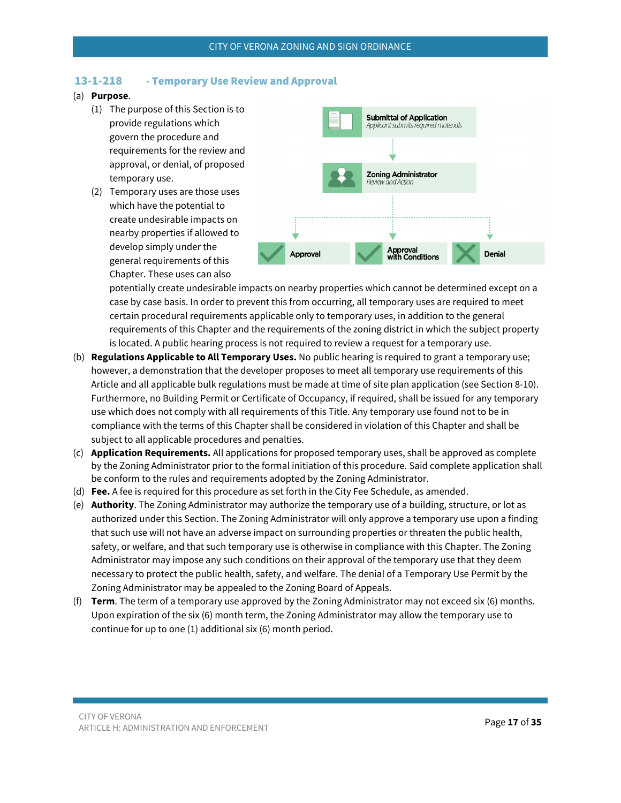### <span id="page-16-0"></span>13-1-218 - Temporary Use Review and Approval

### (a) **Purpose**.

- (1) The purpose of this Section is to provide regulations which govern the procedure and requirements for the review and approval, or denial, of proposed temporary use.
- (2) Temporary uses are those uses which have the potential to create undesirable impacts on nearby properties if allowed to develop simply under the general requirements of this Chapter. These uses can also



potentially create undesirable impacts on nearby properties which cannot be determined except on a case by case basis. In order to prevent this from occurring, all temporary uses are required to meet certain procedural requirements applicable only to temporary uses, in addition to the general requirements of this Chapter and the requirements of the zoning district in which the subject property is located. A public hearing process is not required to review a request for a temporary use.

- (b) **Regulations Applicable to All Temporary Uses.** No public hearing is required to grant a temporary use; however, a demonstration that the developer proposes to meet all temporary use requirements of this Article and all applicable bulk regulations must be made at time of site plan application (see Section 8-10). Furthermore, no Building Permit or Certificate of Occupancy, if required, shall be issued for any temporary use which does not comply with all requirements of this Title. Any temporary use found not to be in compliance with the terms of this Chapter shall be considered in violation of this Chapter and shall be subject to all applicable procedures and penalties.
- (c) **Application Requirements.** All applications for proposed temporary uses, shall be approved as complete by the Zoning Administrator prior to the formal initiation of this procedure. Said complete application shall be conform to the rules and requirements adopted by the Zoning Administrator.
- (d) **Fee.** A fee is required for this procedure as set forth in the City Fee Schedule, as amended.
- (e) **Authority**. The Zoning Administrator may authorize the temporary use of a building, structure, or lot as authorized under this Section. The Zoning Administrator will only approve a temporary use upon a finding that such use will not have an adverse impact on surrounding properties or threaten the public health, safety, or welfare, and that such temporary use is otherwise in compliance with this Chapter. The Zoning Administrator may impose any such conditions on their approval of the temporary use that they deem necessary to protect the public health, safety, and welfare. The denial of a Temporary Use Permit by the Zoning Administrator may be appealed to the Zoning Board of Appeals.
- (f) **Term**. The term of a temporary use approved by the Zoning Administrator may not exceed six (6) months. Upon expiration of the six (6) month term, the Zoning Administrator may allow the temporary use to continue for up to one (1) additional six (6) month period.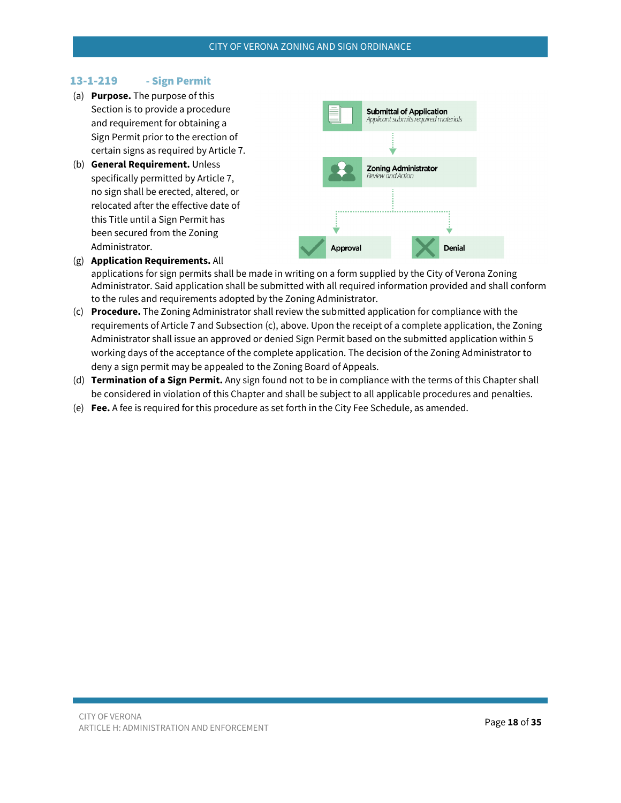## <span id="page-17-0"></span>13-1-219 - Sign Permit

- (a) **Purpose.** The purpose of this Section is to provide a procedure and requirement for obtaining a Sign Permit prior to the erection of certain signs as required by Article 7.
- (b) **General Requirement.** Unless specifically permitted by Article 7, no sign shall be erected, altered, or relocated after the effective date of this Title until a Sign Permit has been secured from the Zoning Administrator.



(g) **Application Requirements.** All

applications for sign permits shall be made in writing on a form supplied by the City of Verona Zoning Administrator. Said application shall be submitted with all required information provided and shall conform to the rules and requirements adopted by the Zoning Administrator.

- (c) **Procedure.** The Zoning Administrator shall review the submitted application for compliance with the requirements of Article 7 and Subsection (c), above. Upon the receipt of a complete application, the Zoning Administrator shall issue an approved or denied Sign Permit based on the submitted application within 5 working days of the acceptance of the complete application. The decision of the Zoning Administrator to deny a sign permit may be appealed to the Zoning Board of Appeals.
- (d) **Termination of a Sign Permit.** Any sign found not to be in compliance with the terms of this Chapter shall be considered in violation of this Chapter and shall be subject to all applicable procedures and penalties.
- (e) **Fee.** A fee is required for this procedure as set forth in the City Fee Schedule, as amended.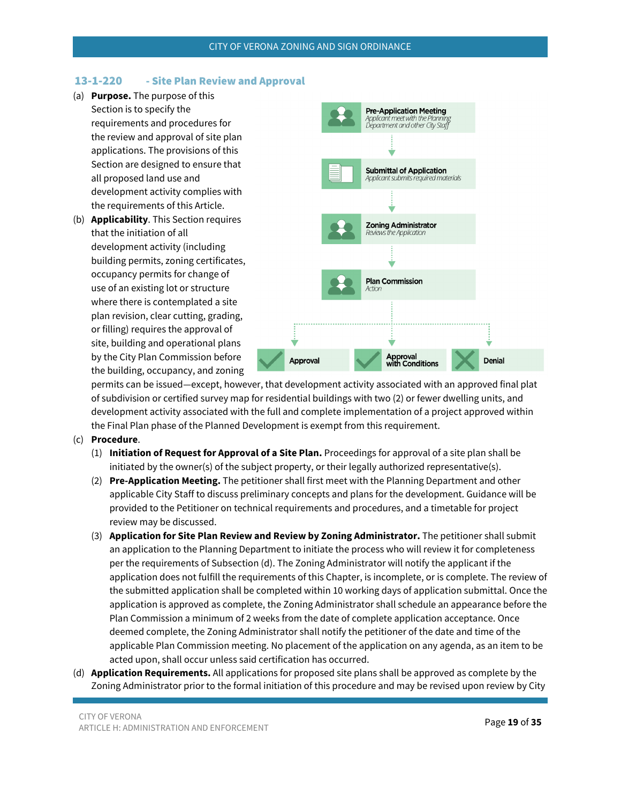### <span id="page-18-0"></span>13-1-220 - Site Plan Review and Approval

- (a) **Purpose.** The purpose of this Section is to specify the requirements and procedures for the review and approval of site plan applications. The provisions of this Section are designed to ensure that all proposed land use and development activity complies with the requirements of this Article.
- (b) **Applicability**. This Section requires that the initiation of all development activity (including building permits, zoning certificates, occupancy permits for change of use of an existing lot or structure where there is contemplated a site plan revision, clear cutting, grading, or filling) requires the approval of site, building and operational plans by the City Plan Commission before the building, occupancy, and zoning



permits can be issued—except, however, that development activity associated with an approved final plat of subdivision or certified survey map for residential buildings with two (2) or fewer dwelling units, and development activity associated with the full and complete implementation of a project approved within the Final Plan phase of the Planned Development is exempt from this requirement.

- (c) **Procedure**.
	- (1) **Initiation of Request for Approval of a Site Plan.** Proceedings for approval of a site plan shall be initiated by the owner(s) of the subject property, or their legally authorized representative(s).
	- (2) **Pre-Application Meeting.** The petitioner shall first meet with the Planning Department and other applicable City Staff to discuss preliminary concepts and plans for the development. Guidance will be provided to the Petitioner on technical requirements and procedures, and a timetable for project review may be discussed.
	- (3) **Application for Site Plan Review and Review by Zoning Administrator.** The petitioner shall submit an application to the Planning Department to initiate the process who will review it for completeness per the requirements of Subsection (d). The Zoning Administrator will notify the applicant if the application does not fulfill the requirements of this Chapter, is incomplete, or is complete. The review of the submitted application shall be completed within 10 working days of application submittal. Once the application is approved as complete, the Zoning Administrator shall schedule an appearance before the Plan Commission a minimum of 2 weeks from the date of complete application acceptance. Once deemed complete, the Zoning Administrator shall notify the petitioner of the date and time of the applicable Plan Commission meeting. No placement of the application on any agenda, as an item to be acted upon, shall occur unless said certification has occurred.
- (d) **Application Requirements.** All applications for proposed site plans shall be approved as complete by the Zoning Administrator prior to the formal initiation of this procedure and may be revised upon review by City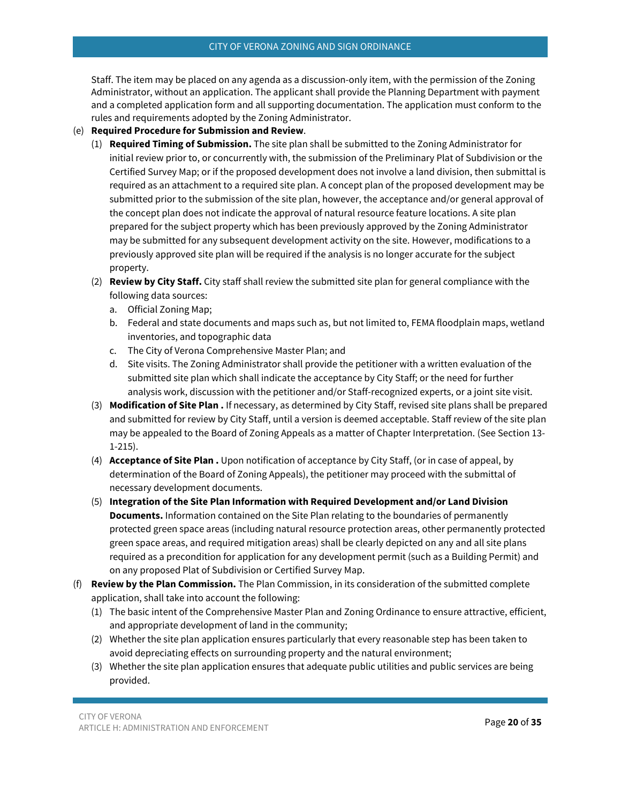Staff. The item may be placed on any agenda as a discussion-only item, with the permission of the Zoning Administrator, without an application. The applicant shall provide the Planning Department with payment and a completed application form and all supporting documentation. The application must conform to the rules and requirements adopted by the Zoning Administrator.

- (e) **Required Procedure for Submission and Review**.
	- (1) **Required Timing of Submission.** The site plan shall be submitted to the Zoning Administrator for initial review prior to, or concurrently with, the submission of the Preliminary Plat of Subdivision or the Certified Survey Map; or if the proposed development does not involve a land division, then submittal is required as an attachment to a required site plan. A concept plan of the proposed development may be submitted prior to the submission of the site plan, however, the acceptance and/or general approval of the concept plan does not indicate the approval of natural resource feature locations. A site plan prepared for the subject property which has been previously approved by the Zoning Administrator may be submitted for any subsequent development activity on the site. However, modifications to a previously approved site plan will be required if the analysis is no longer accurate for the subject property.
	- (2) **Review by City Staff.** City staff shall review the submitted site plan for general compliance with the following data sources:
		- a. Official Zoning Map;
		- b. Federal and state documents and maps such as, but not limited to, FEMA floodplain maps, wetland inventories, and topographic data
		- c. The City of Verona Comprehensive Master Plan; and
		- d. Site visits. The Zoning Administrator shall provide the petitioner with a written evaluation of the submitted site plan which shall indicate the acceptance by City Staff; or the need for further analysis work, discussion with the petitioner and/or Staff-recognized experts, or a joint site visit.
	- (3) **Modification of Site Plan .** If necessary, as determined by City Staff, revised site plans shall be prepared and submitted for review by City Staff, until a version is deemed acceptable. Staff review of the site plan may be appealed to the Board of Zoning Appeals as a matter of Chapter Interpretation. (See Section 13- 1-215).
	- (4) **Acceptance of Site Plan .** Upon notification of acceptance by City Staff, (or in case of appeal, by determination of the Board of Zoning Appeals), the petitioner may proceed with the submittal of necessary development documents.
	- (5) **Integration of the Site Plan Information with Required Development and/or Land Division Documents.** Information contained on the Site Plan relating to the boundaries of permanently protected green space areas (including natural resource protection areas, other permanently protected green space areas, and required mitigation areas) shall be clearly depicted on any and all site plans required as a precondition for application for any development permit (such as a Building Permit) and on any proposed Plat of Subdivision or Certified Survey Map.
- (f) **Review by the Plan Commission.** The Plan Commission, in its consideration of the submitted complete application, shall take into account the following:
	- (1) The basic intent of the Comprehensive Master Plan and Zoning Ordinance to ensure attractive, efficient, and appropriate development of land in the community;
	- (2) Whether the site plan application ensures particularly that every reasonable step has been taken to avoid depreciating effects on surrounding property and the natural environment;
	- (3) Whether the site plan application ensures that adequate public utilities and public services are being provided.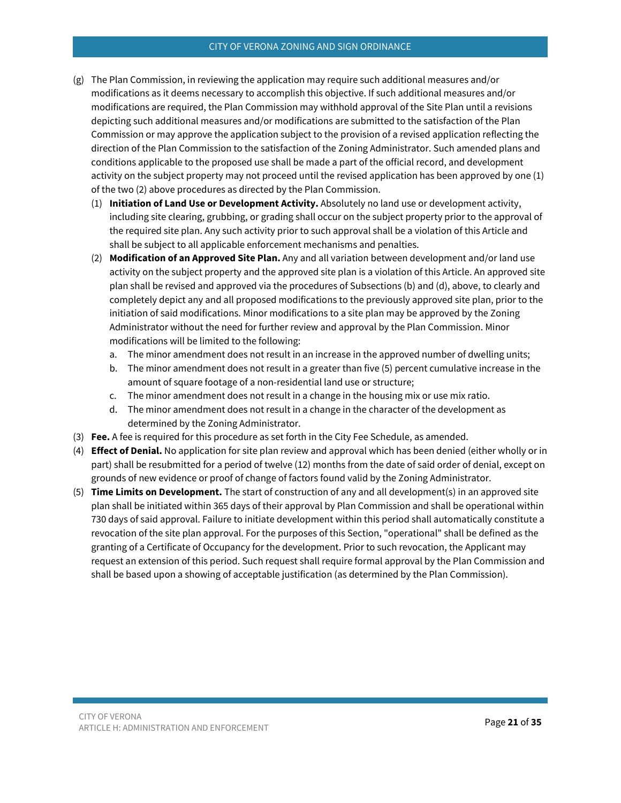#### CITY OF VERONA ZONING AND SIGN ORDINANCE

- (g) The Plan Commission, in reviewing the application may require such additional measures and/or modifications as it deems necessary to accomplish this objective. If such additional measures and/or modifications are required, the Plan Commission may withhold approval of the Site Plan until a revisions depicting such additional measures and/or modifications are submitted to the satisfaction of the Plan Commission or may approve the application subject to the provision of a revised application reflecting the direction of the Plan Commission to the satisfaction of the Zoning Administrator. Such amended plans and conditions applicable to the proposed use shall be made a part of the official record, and development activity on the subject property may not proceed until the revised application has been approved by one (1) of the two (2) above procedures as directed by the Plan Commission.
	- (1) **Initiation of Land Use or Development Activity.** Absolutely no land use or development activity, including site clearing, grubbing, or grading shall occur on the subject property prior to the approval of the required site plan. Any such activity prior to such approval shall be a violation of this Article and shall be subject to all applicable enforcement mechanisms and penalties.
	- (2) **Modification of an Approved Site Plan.** Any and all variation between development and/or land use activity on the subject property and the approved site plan is a violation of this Article. An approved site plan shall be revised and approved via the procedures of Subsections (b) and (d), above, to clearly and completely depict any and all proposed modifications to the previously approved site plan, prior to the initiation of said modifications. Minor modifications to a site plan may be approved by the Zoning Administrator without the need for further review and approval by the Plan Commission. Minor modifications will be limited to the following:
		- a. The minor amendment does not result in an increase in the approved number of dwelling units;
		- b. The minor amendment does not result in a greater than five (5) percent cumulative increase in the amount of square footage of a non-residential land use or structure;
		- c. The minor amendment does not result in a change in the housing mix or use mix ratio.
		- d. The minor amendment does not result in a change in the character of the development as determined by the Zoning Administrator.
- (3) **Fee.** A fee is required for this procedure as set forth in the City Fee Schedule, as amended.
- (4) **Effect of Denial.** No application for site plan review and approval which has been denied (either wholly or in part) shall be resubmitted for a period of twelve (12) months from the date of said order of denial, except on grounds of new evidence or proof of change of factors found valid by the Zoning Administrator.
- (5) **Time Limits on Development.** The start of construction of any and all development(s) in an approved site plan shall be initiated within 365 days of their approval by Plan Commission and shall be operational within 730 days of said approval. Failure to initiate development within this period shall automatically constitute a revocation of the site plan approval. For the purposes of this Section, "operational" shall be defined as the granting of a Certificate of Occupancy for the development. Prior to such revocation, the Applicant may request an extension of this period. Such request shall require formal approval by the Plan Commission and shall be based upon a showing of acceptable justification (as determined by the Plan Commission).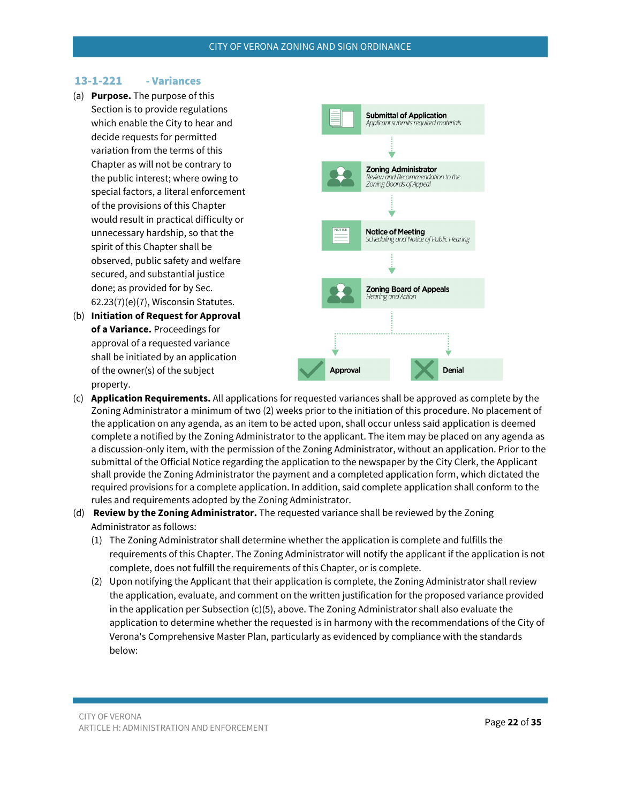### <span id="page-21-0"></span>13-1-221 - Variances

- (a) **Purpose.** The purpose of this Section is to provide regulations which enable the City to hear and decide requests for permitted variation from the terms of this Chapter as will not be contrary to the public interest; where owing to special factors, a literal enforcement of the provisions of this Chapter would result in practical difficulty or unnecessary hardship, so that the spirit of this Chapter shall be observed, public safety and welfare secured, and substantial justice done; as provided for by Sec. 62.23(7)(e)(7), Wisconsin Statutes.
- (b) **Initiation of Request for Approval of a Variance.** Proceedings for approval of a requested variance shall be initiated by an application of the owner(s) of the subject property.



- (c) **Application Requirements.** All applications for requested variances shall be approved as complete by the Zoning Administrator a minimum of two (2) weeks prior to the initiation of this procedure. No placement of the application on any agenda, as an item to be acted upon, shall occur unless said application is deemed complete a notified by the Zoning Administrator to the applicant. The item may be placed on any agenda as a discussion-only item, with the permission of the Zoning Administrator, without an application. Prior to the submittal of the Official Notice regarding the application to the newspaper by the City Clerk, the Applicant shall provide the Zoning Administrator the payment and a completed application form, which dictated the required provisions for a complete application. In addition, said complete application shall conform to the rules and requirements adopted by the Zoning Administrator.
- (d) **Review by the Zoning Administrator.** The requested variance shall be reviewed by the Zoning Administrator as follows:
	- (1) The Zoning Administrator shall determine whether the application is complete and fulfills the requirements of this Chapter. The Zoning Administrator will notify the applicant if the application is not complete, does not fulfill the requirements of this Chapter, or is complete.
	- (2) Upon notifying the Applicant that their application is complete, the Zoning Administrator shall review the application, evaluate, and comment on the written justification for the proposed variance provided in the application per Subsection (c)(5), above. The Zoning Administrator shall also evaluate the application to determine whether the requested is in harmony with the recommendations of the City of Verona's Comprehensive Master Plan, particularly as evidenced by compliance with the standards below: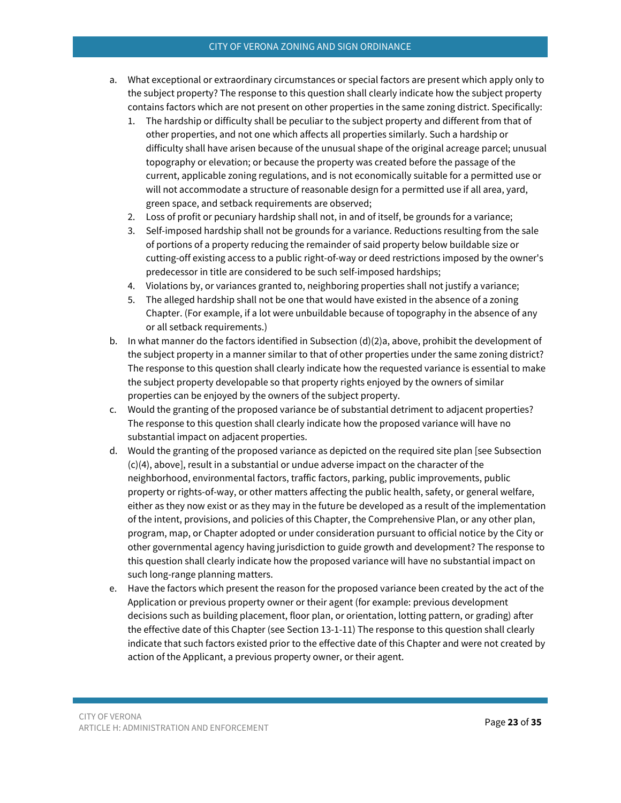### CITY OF VERONA ZONING AND SIGN ORDINANCE

- a. What exceptional or extraordinary circumstances or special factors are present which apply only to the subject property? The response to this question shall clearly indicate how the subject property contains factors which are not present on other properties in the same zoning district. Specifically:
	- 1. The hardship or difficulty shall be peculiar to the subject property and different from that of other properties, and not one which affects all properties similarly. Such a hardship or difficulty shall have arisen because of the unusual shape of the original acreage parcel; unusual topography or elevation; or because the property was created before the passage of the current, applicable zoning regulations, and is not economically suitable for a permitted use or will not accommodate a structure of reasonable design for a permitted use if all area, yard, green space, and setback requirements are observed;
	- 2. Loss of profit or pecuniary hardship shall not, in and of itself, be grounds for a variance;
	- 3. Self-imposed hardship shall not be grounds for a variance. Reductions resulting from the sale of portions of a property reducing the remainder of said property below buildable size or cutting-off existing access to a public right-of-way or deed restrictions imposed by the owner's predecessor in title are considered to be such self-imposed hardships;
	- 4. Violations by, or variances granted to, neighboring properties shall not justify a variance;
	- 5. The alleged hardship shall not be one that would have existed in the absence of a zoning Chapter. (For example, if a lot were unbuildable because of topography in the absence of any or all setback requirements.)
- b. In what manner do the factors identified in Subsection  $(d)(2)a$ , above, prohibit the development of the subject property in a manner similar to that of other properties under the same zoning district? The response to this question shall clearly indicate how the requested variance is essential to make the subject property developable so that property rights enjoyed by the owners of similar properties can be enjoyed by the owners of the subject property.
- c. Would the granting of the proposed variance be of substantial detriment to adjacent properties? The response to this question shall clearly indicate how the proposed variance will have no substantial impact on adjacent properties.
- d. Would the granting of the proposed variance as depicted on the required site plan [see Subsection (c)(4), above], result in a substantial or undue adverse impact on the character of the neighborhood, environmental factors, traffic factors, parking, public improvements, public property or rights-of-way, or other matters affecting the public health, safety, or general welfare, either as they now exist or as they may in the future be developed as a result of the implementation of the intent, provisions, and policies of this Chapter, the Comprehensive Plan, or any other plan, program, map, or Chapter adopted or under consideration pursuant to official notice by the City or other governmental agency having jurisdiction to guide growth and development? The response to this question shall clearly indicate how the proposed variance will have no substantial impact on such long-range planning matters.
- e. Have the factors which present the reason for the proposed variance been created by the act of the Application or previous property owner or their agent (for example: previous development decisions such as building placement, floor plan, or orientation, lotting pattern, or grading) after the effective date of this Chapter (see Section 13-1-11) The response to this question shall clearly indicate that such factors existed prior to the effective date of this Chapter and were not created by action of the Applicant, a previous property owner, or their agent.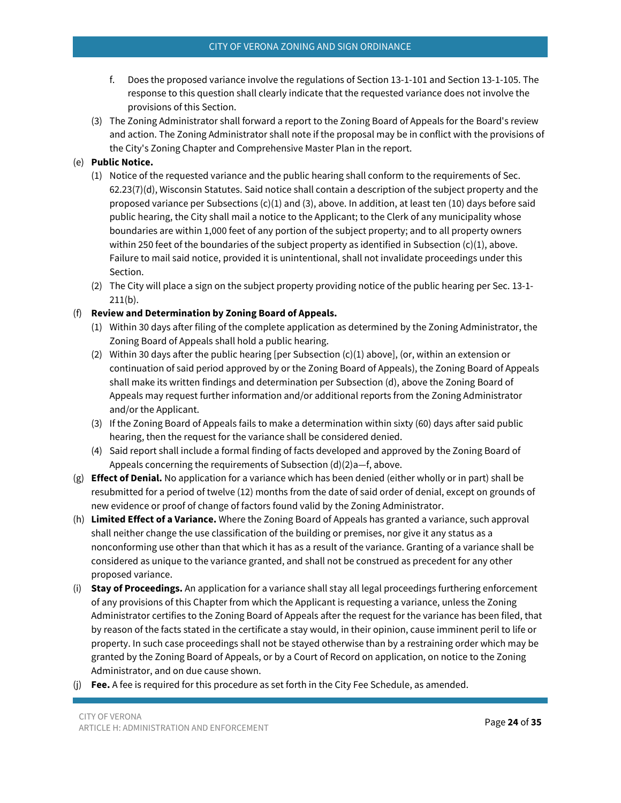- f. Does the proposed variance involve the regulations of Section 13-1-101 and Section 13-1-105. The response to this question shall clearly indicate that the requested variance does not involve the provisions of this Section.
- (3) The Zoning Administrator shall forward a report to the Zoning Board of Appeals for the Board's review and action. The Zoning Administrator shall note if the proposal may be in conflict with the provisions of the City's Zoning Chapter and Comprehensive Master Plan in the report.

## (e) **Public Notice.**

- (1) Notice of the requested variance and the public hearing shall conform to the requirements of Sec. 62.23(7)(d), Wisconsin Statutes. Said notice shall contain a description of the subject property and the proposed variance per Subsections (c)(1) and (3), above. In addition, at least ten (10) days before said public hearing, the City shall mail a notice to the Applicant; to the Clerk of any municipality whose boundaries are within 1,000 feet of any portion of the subject property; and to all property owners within 250 feet of the boundaries of the subject property as identified in Subsection (c)(1), above. Failure to mail said notice, provided it is unintentional, shall not invalidate proceedings under this Section.
- (2) The City will place a sign on the subject property providing notice of the public hearing per Sec. 13-1- 211(b).

### (f) **Review and Determination by Zoning Board of Appeals.**

- (1) Within 30 days after filing of the complete application as determined by the Zoning Administrator, the Zoning Board of Appeals shall hold a public hearing.
- (2) Within 30 days after the public hearing [per Subsection (c)(1) above], (or, within an extension or continuation of said period approved by or the Zoning Board of Appeals), the Zoning Board of Appeals shall make its written findings and determination per Subsection (d), above the Zoning Board of Appeals may request further information and/or additional reports from the Zoning Administrator and/or the Applicant.
- (3) If the Zoning Board of Appeals fails to make a determination within sixty (60) days after said public hearing, then the request for the variance shall be considered denied.
- (4) Said report shall include a formal finding of facts developed and approved by the Zoning Board of Appeals concerning the requirements of Subsection (d)(2)a—f, above.
- (g) **Effect of Denial.** No application for a variance which has been denied (either wholly or in part) shall be resubmitted for a period of twelve (12) months from the date of said order of denial, except on grounds of new evidence or proof of change of factors found valid by the Zoning Administrator.
- (h) **Limited Effect of a Variance.** Where the Zoning Board of Appeals has granted a variance, such approval shall neither change the use classification of the building or premises, nor give it any status as a nonconforming use other than that which it has as a result of the variance. Granting of a variance shall be considered as unique to the variance granted, and shall not be construed as precedent for any other proposed variance.
- (i) **Stay of Proceedings.** An application for a variance shall stay all legal proceedings furthering enforcement of any provisions of this Chapter from which the Applicant is requesting a variance, unless the Zoning Administrator certifies to the Zoning Board of Appeals after the request for the variance has been filed, that by reason of the facts stated in the certificate a stay would, in their opinion, cause imminent peril to life or property. In such case proceedings shall not be stayed otherwise than by a restraining order which may be granted by the Zoning Board of Appeals, or by a Court of Record on application, on notice to the Zoning Administrator, and on due cause shown.
- (j) **Fee.** A fee is required for this procedure as set forth in the City Fee Schedule, as amended.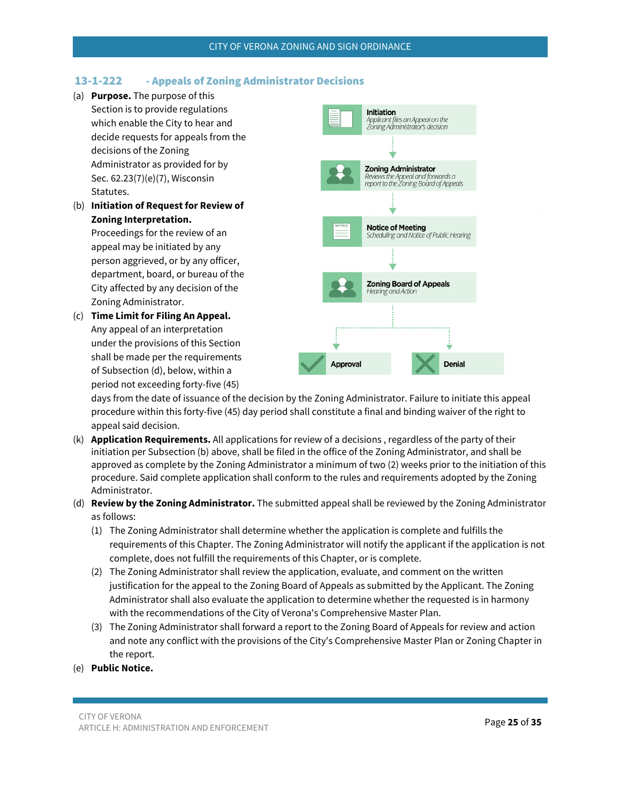## <span id="page-24-0"></span>13-1-222 - Appeals of Zoning Administrator Decisions

- (a) **Purpose.** The purpose of this
- Section is to provide regulations which enable the City to hear and decide requests for appeals from the decisions of the Zoning Administrator as provided for by Sec. 62.23(7)(e)(7), Wisconsin Statutes.
- (b) **Initiation of Request for Review of Zoning Interpretation.**

Proceedings for the review of an appeal may be initiated by any person aggrieved, or by any officer, department, board, or bureau of the City affected by any decision of the Zoning Administrator.

(c) **Time Limit for Filing An Appeal.** Any appeal of an interpretation under the provisions of this Section shall be made per the requirements of Subsection (d), below, within a period not exceeding forty-five (45)



days from the date of issuance of the decision by the Zoning Administrator. Failure to initiate this appeal procedure within this forty-five (45) day period shall constitute a final and binding waiver of the right to appeal said decision.

- (k) **Application Requirements.** All applications for review of a decisions , regardless of the party of their initiation per Subsection (b) above, shall be filed in the office of the Zoning Administrator, and shall be approved as complete by the Zoning Administrator a minimum of two (2) weeks prior to the initiation of this procedure. Said complete application shall conform to the rules and requirements adopted by the Zoning Administrator.
- (d) **Review by the Zoning Administrator.** The submitted appeal shall be reviewed by the Zoning Administrator as follows:
	- (1) The Zoning Administrator shall determine whether the application is complete and fulfills the requirements of this Chapter. The Zoning Administrator will notify the applicant if the application is not complete, does not fulfill the requirements of this Chapter, or is complete.
	- (2) The Zoning Administrator shall review the application, evaluate, and comment on the written justification for the appeal to the Zoning Board of Appeals as submitted by the Applicant. The Zoning Administrator shall also evaluate the application to determine whether the requested is in harmony with the recommendations of the City of Verona's Comprehensive Master Plan.
	- (3) The Zoning Administrator shall forward a report to the Zoning Board of Appeals for review and action and note any conflict with the provisions of the City's Comprehensive Master Plan or Zoning Chapter in the report.
- (e) **Public Notice.**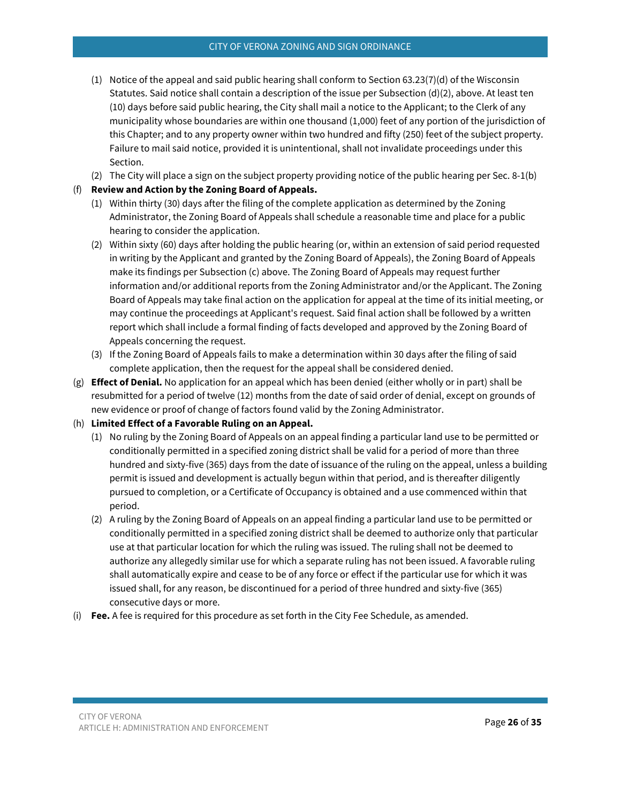- (1) Notice of the appeal and said public hearing shall conform to Section 63.23(7)(d) of the Wisconsin Statutes. Said notice shall contain a description of the issue per Subsection (d)(2), above. At least ten (10) days before said public hearing, the City shall mail a notice to the Applicant; to the Clerk of any municipality whose boundaries are within one thousand (1,000) feet of any portion of the jurisdiction of this Chapter; and to any property owner within two hundred and fifty (250) feet of the subject property. Failure to mail said notice, provided it is unintentional, shall not invalidate proceedings under this Section.
- (2) The City will place a sign on the subject property providing notice of the public hearing per Sec. 8-1(b)

## (f) **Review and Action by the Zoning Board of Appeals.**

- (1) Within thirty (30) days after the filing of the complete application as determined by the Zoning Administrator, the Zoning Board of Appeals shall schedule a reasonable time and place for a public hearing to consider the application.
- (2) Within sixty (60) days after holding the public hearing (or, within an extension of said period requested in writing by the Applicant and granted by the Zoning Board of Appeals), the Zoning Board of Appeals make its findings per Subsection (c) above. The Zoning Board of Appeals may request further information and/or additional reports from the Zoning Administrator and/or the Applicant. The Zoning Board of Appeals may take final action on the application for appeal at the time of its initial meeting, or may continue the proceedings at Applicant's request. Said final action shall be followed by a written report which shall include a formal finding of facts developed and approved by the Zoning Board of Appeals concerning the request.
- (3) If the Zoning Board of Appeals fails to make a determination within 30 days after the filing of said complete application, then the request for the appeal shall be considered denied.
- (g) **Effect of Denial.** No application for an appeal which has been denied (either wholly or in part) shall be resubmitted for a period of twelve (12) months from the date of said order of denial, except on grounds of new evidence or proof of change of factors found valid by the Zoning Administrator.

## (h) **Limited Effect of a Favorable Ruling on an Appeal.**

- (1) No ruling by the Zoning Board of Appeals on an appeal finding a particular land use to be permitted or conditionally permitted in a specified zoning district shall be valid for a period of more than three hundred and sixty-five (365) days from the date of issuance of the ruling on the appeal, unless a building permit is issued and development is actually begun within that period, and is thereafter diligently pursued to completion, or a Certificate of Occupancy is obtained and a use commenced within that period.
- (2) A ruling by the Zoning Board of Appeals on an appeal finding a particular land use to be permitted or conditionally permitted in a specified zoning district shall be deemed to authorize only that particular use at that particular location for which the ruling was issued. The ruling shall not be deemed to authorize any allegedly similar use for which a separate ruling has not been issued. A favorable ruling shall automatically expire and cease to be of any force or effect if the particular use for which it was issued shall, for any reason, be discontinued for a period of three hundred and sixty-five (365) consecutive days or more.
- (i) **Fee.** A fee is required for this procedure as set forth in the City Fee Schedule, as amended.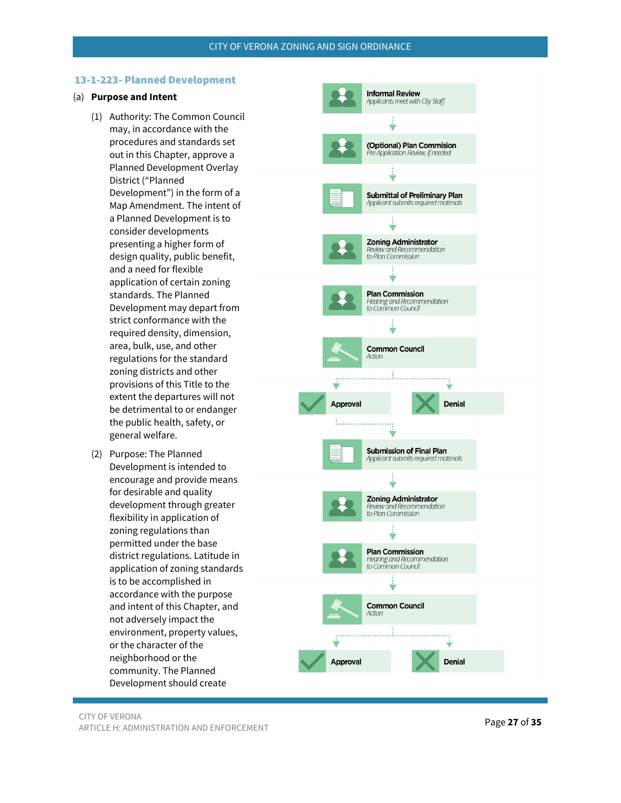#### <span id="page-26-0"></span>13-1-223- Planned Development

### (a) **Purpose and Intent**

- (1) Authority: The Common Council may, in accordance with the procedures and standards set out in this Chapter, approve a Planned Development Overlay District ("Planned Development") in the form of a Map Amendment. The intent of a Planned Development is to consider developments presenting a higher form of design quality, public benefit, and a need for flexible application of certain zoning standards. The Planned Development may depart from strict conformance with the required density, dimension, area, bulk, use, and other regulations for the standard zoning districts and other provisions of this Title to the extent the departures will not be detrimental to or endanger the public health, safety, or general welfare.
- (2) Purpose: The Planned Development is intended to encourage and provide means for desirable and quality development through greater flexibility in application of zoning regulations than permitted under the base district regulations. Latitude in application of zoning standards is to be accomplished in accordance with the purpose and intent of this Chapter, and not adversely impact the environment, property values, or the character of the neighborhood or the community. The Planned Development should create

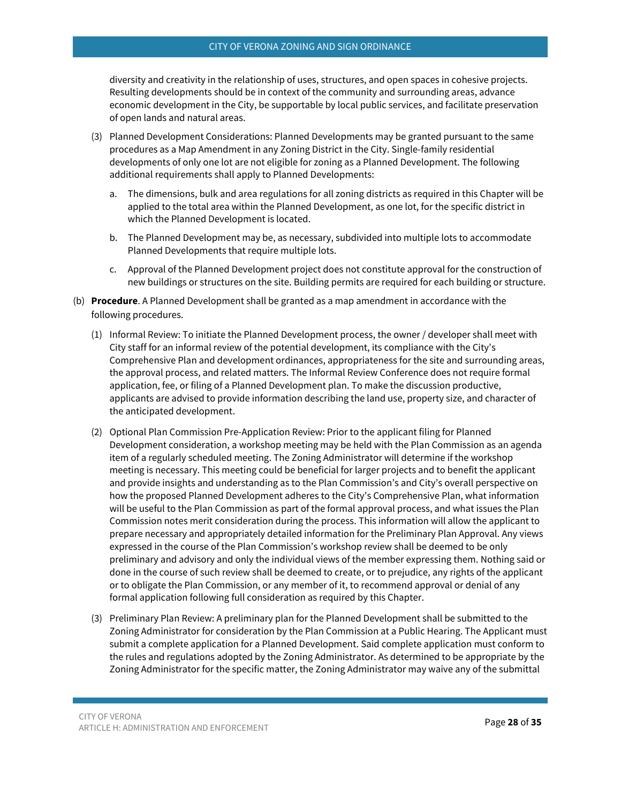#### CITY OF VERONA ZONING AND SIGN ORDINANCE

diversity and creativity in the relationship of uses, structures, and open spaces in cohesive projects. Resulting developments should be in context of the community and surrounding areas, advance economic development in the City, be supportable by local public services, and facilitate preservation of open lands and natural areas.

- (3) Planned Development Considerations: Planned Developments may be granted pursuant to the same procedures as a Map Amendment in any Zoning District in the City. Single-family residential developments of only one lot are not eligible for zoning as a Planned Development. The following additional requirements shall apply to Planned Developments:
	- a. The dimensions, bulk and area regulations for all zoning districts as required in this Chapter will be applied to the total area within the Planned Development, as one lot, for the specific district in which the Planned Development is located.
	- b. The Planned Development may be, as necessary, subdivided into multiple lots to accommodate Planned Developments that require multiple lots.
	- c. Approval of the Planned Development project does not constitute approval for the construction of new buildings or structures on the site. Building permits are required for each building or structure.
- (b) **Procedure**. A Planned Development shall be granted as a map amendment in accordance with the following procedures.
	- (1) Informal Review: To initiate the Planned Development process, the owner / developer shall meet with City staff for an informal review of the potential development, its compliance with the City's Comprehensive Plan and development ordinances, appropriateness for the site and surrounding areas, the approval process, and related matters. The Informal Review Conference does not require formal application, fee, or filing of a Planned Development plan. To make the discussion productive, applicants are advised to provide information describing the land use, property size, and character of the anticipated development.
	- (2) Optional Plan Commission Pre-Application Review: Prior to the applicant filing for Planned Development consideration, a workshop meeting may be held with the Plan Commission as an agenda item of a regularly scheduled meeting. The Zoning Administrator will determine if the workshop meeting is necessary. This meeting could be beneficial for larger projects and to benefit the applicant and provide insights and understanding as to the Plan Commission's and City's overall perspective on how the proposed Planned Development adheres to the City's Comprehensive Plan, what information will be useful to the Plan Commission as part of the formal approval process, and what issues the Plan Commission notes merit consideration during the process. This information will allow the applicant to prepare necessary and appropriately detailed information for the Preliminary Plan Approval. Any views expressed in the course of the Plan Commission's workshop review shall be deemed to be only preliminary and advisory and only the individual views of the member expressing them. Nothing said or done in the course of such review shall be deemed to create, or to prejudice, any rights of the applicant or to obligate the Plan Commission, or any member of it, to recommend approval or denial of any formal application following full consideration as required by this Chapter.
	- (3) Preliminary Plan Review: A preliminary plan for the Planned Development shall be submitted to the Zoning Administrator for consideration by the Plan Commission at a Public Hearing. The Applicant must submit a complete application for a Planned Development. Said complete application must conform to the rules and regulations adopted by the Zoning Administrator. As determined to be appropriate by the Zoning Administrator for the specific matter, the Zoning Administrator may waive any of the submittal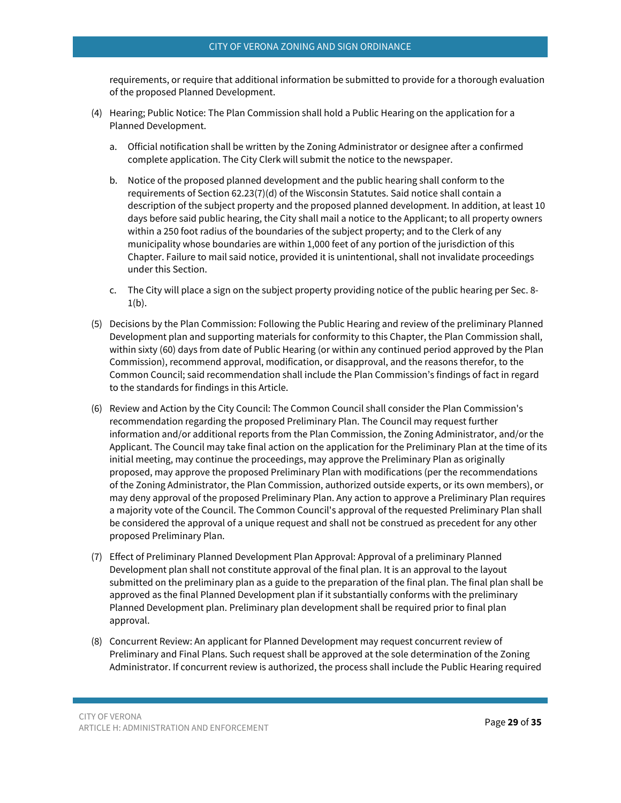requirements, or require that additional information be submitted to provide for a thorough evaluation of the proposed Planned Development.

- (4) Hearing; Public Notice: The Plan Commission shall hold a Public Hearing on the application for a Planned Development.
	- a. Official notification shall be written by the Zoning Administrator or designee after a confirmed complete application. The City Clerk will submit the notice to the newspaper.
	- b. Notice of the proposed planned development and the public hearing shall conform to the requirements of Section 62.23(7)(d) of the Wisconsin Statutes. Said notice shall contain a description of the subject property and the proposed planned development. In addition, at least 10 days before said public hearing, the City shall mail a notice to the Applicant; to all property owners within a 250 foot radius of the boundaries of the subject property; and to the Clerk of any municipality whose boundaries are within 1,000 feet of any portion of the jurisdiction of this Chapter. Failure to mail said notice, provided it is unintentional, shall not invalidate proceedings under this Section.
	- c. The City will place a sign on the subject property providing notice of the public hearing per Sec. 8-  $1(b)$ .
- (5) Decisions by the Plan Commission: Following the Public Hearing and review of the preliminary Planned Development plan and supporting materials for conformity to this Chapter, the Plan Commission shall, within sixty (60) days from date of Public Hearing (or within any continued period approved by the Plan Commission), recommend approval, modification, or disapproval, and the reasons therefor, to the Common Council; said recommendation shall include the Plan Commission's findings of fact in regard to the standards for findings in this Article.
- (6) Review and Action by the City Council: The Common Council shall consider the Plan Commission's recommendation regarding the proposed Preliminary Plan. The Council may request further information and/or additional reports from the Plan Commission, the Zoning Administrator, and/or the Applicant. The Council may take final action on the application for the Preliminary Plan at the time of its initial meeting, may continue the proceedings, may approve the Preliminary Plan as originally proposed, may approve the proposed Preliminary Plan with modifications (per the recommendations of the Zoning Administrator, the Plan Commission, authorized outside experts, or its own members), or may deny approval of the proposed Preliminary Plan. Any action to approve a Preliminary Plan requires a majority vote of the Council. The Common Council's approval of the requested Preliminary Plan shall be considered the approval of a unique request and shall not be construed as precedent for any other proposed Preliminary Plan.
- (7) Effect of Preliminary Planned Development Plan Approval: Approval of a preliminary Planned Development plan shall not constitute approval of the final plan. It is an approval to the layout submitted on the preliminary plan as a guide to the preparation of the final plan. The final plan shall be approved as the final Planned Development plan if it substantially conforms with the preliminary Planned Development plan. Preliminary plan development shall be required prior to final plan approval.
- (8) Concurrent Review: An applicant for Planned Development may request concurrent review of Preliminary and Final Plans. Such request shall be approved at the sole determination of the Zoning Administrator. If concurrent review is authorized, the process shall include the Public Hearing required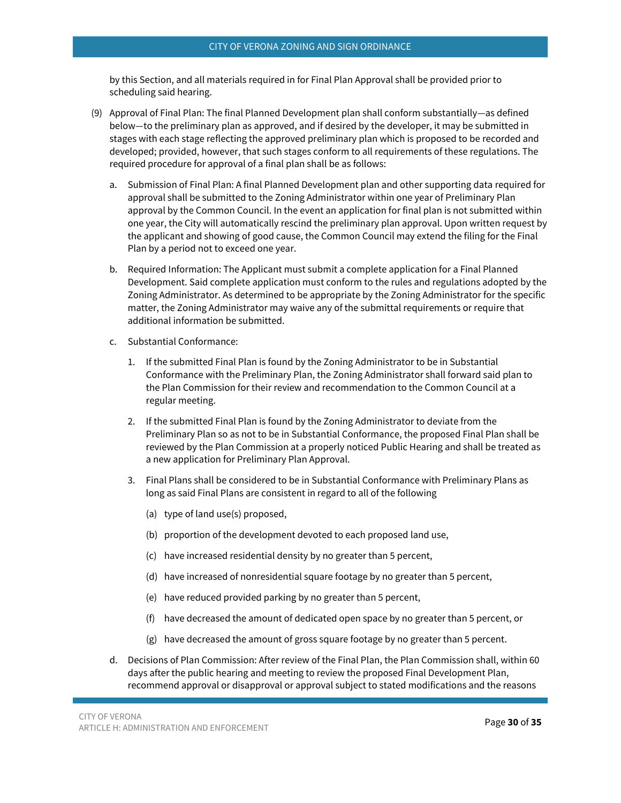by this Section, and all materials required in for Final Plan Approval shall be provided prior to scheduling said hearing.

- (9) Approval of Final Plan: The final Planned Development plan shall conform substantially—as defined below—to the preliminary plan as approved, and if desired by the developer, it may be submitted in stages with each stage reflecting the approved preliminary plan which is proposed to be recorded and developed; provided, however, that such stages conform to all requirements of these regulations. The required procedure for approval of a final plan shall be as follows:
	- a. Submission of Final Plan: A final Planned Development plan and other supporting data required for approval shall be submitted to the Zoning Administrator within one year of Preliminary Plan approval by the Common Council. In the event an application for final plan is not submitted within one year, the City will automatically rescind the preliminary plan approval. Upon written request by the applicant and showing of good cause, the Common Council may extend the filing for the Final Plan by a period not to exceed one year.
	- b. Required Information: The Applicant must submit a complete application for a Final Planned Development. Said complete application must conform to the rules and regulations adopted by the Zoning Administrator. As determined to be appropriate by the Zoning Administrator for the specific matter, the Zoning Administrator may waive any of the submittal requirements or require that additional information be submitted.
	- c. Substantial Conformance:
		- 1. If the submitted Final Plan is found by the Zoning Administrator to be in Substantial Conformance with the Preliminary Plan, the Zoning Administrator shall forward said plan to the Plan Commission for their review and recommendation to the Common Council at a regular meeting.
		- 2. If the submitted Final Plan is found by the Zoning Administrator to deviate from the Preliminary Plan so as not to be in Substantial Conformance, the proposed Final Plan shall be reviewed by the Plan Commission at a properly noticed Public Hearing and shall be treated as a new application for Preliminary Plan Approval.
		- 3. Final Plans shall be considered to be in Substantial Conformance with Preliminary Plans as long as said Final Plans are consistent in regard to all of the following
			- (a) type of land use(s) proposed,
			- (b) proportion of the development devoted to each proposed land use,
			- (c) have increased residential density by no greater than 5 percent,
			- (d) have increased of nonresidential square footage by no greater than 5 percent,
			- (e) have reduced provided parking by no greater than 5 percent,
			- (f) have decreased the amount of dedicated open space by no greater than 5 percent, or
			- (g) have decreased the amount of gross square footage by no greater than 5 percent.
	- d. Decisions of Plan Commission: After review of the Final Plan, the Plan Commission shall, within 60 days after the public hearing and meeting to review the proposed Final Development Plan, recommend approval or disapproval or approval subject to stated modifications and the reasons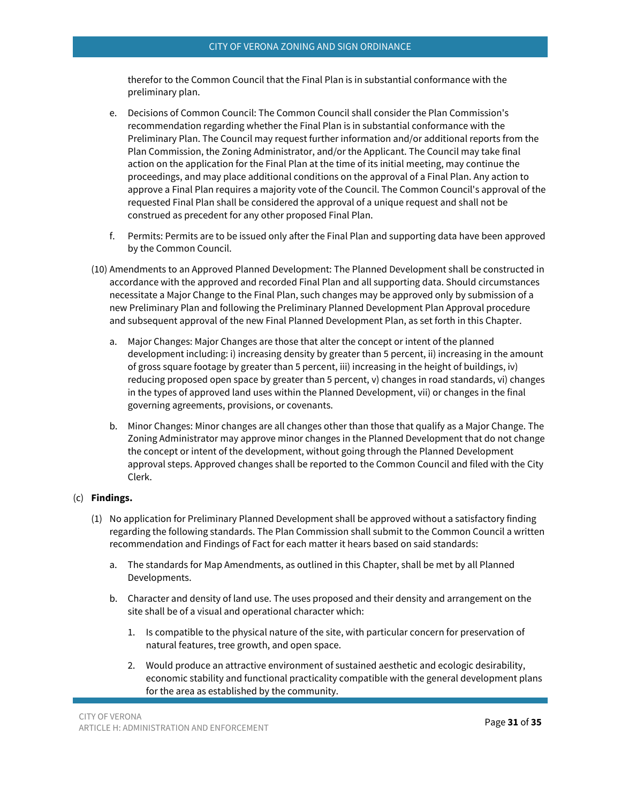therefor to the Common Council that the Final Plan is in substantial conformance with the preliminary plan.

- e. Decisions of Common Council: The Common Council shall consider the Plan Commission's recommendation regarding whether the Final Plan is in substantial conformance with the Preliminary Plan. The Council may request further information and/or additional reports from the Plan Commission, the Zoning Administrator, and/or the Applicant. The Council may take final action on the application for the Final Plan at the time of its initial meeting, may continue the proceedings, and may place additional conditions on the approval of a Final Plan. Any action to approve a Final Plan requires a majority vote of the Council. The Common Council's approval of the requested Final Plan shall be considered the approval of a unique request and shall not be construed as precedent for any other proposed Final Plan.
- f. Permits: Permits are to be issued only after the Final Plan and supporting data have been approved by the Common Council.
- (10) Amendments to an Approved Planned Development: The Planned Development shall be constructed in accordance with the approved and recorded Final Plan and all supporting data. Should circumstances necessitate a Major Change to the Final Plan, such changes may be approved only by submission of a new Preliminary Plan and following the Preliminary Planned Development Plan Approval procedure and subsequent approval of the new Final Planned Development Plan, as set forth in this Chapter.
	- a. Major Changes: Major Changes are those that alter the concept or intent of the planned development including: i) increasing density by greater than 5 percent, ii) increasing in the amount of gross square footage by greater than 5 percent, iii) increasing in the height of buildings, iv) reducing proposed open space by greater than 5 percent, v) changes in road standards, vi) changes in the types of approved land uses within the Planned Development, vii) or changes in the final governing agreements, provisions, or covenants.
	- b. Minor Changes: Minor changes are all changes other than those that qualify as a Major Change. The Zoning Administrator may approve minor changes in the Planned Development that do not change the concept or intent of the development, without going through the Planned Development approval steps. Approved changes shall be reported to the Common Council and filed with the City Clerk.

#### (c) **Findings.**

- (1) No application for Preliminary Planned Development shall be approved without a satisfactory finding regarding the following standards. The Plan Commission shall submit to the Common Council a written recommendation and Findings of Fact for each matter it hears based on said standards:
	- a. The standards for Map Amendments, as outlined in this Chapter, shall be met by all Planned Developments.
	- b. Character and density of land use. The uses proposed and their density and arrangement on the site shall be of a visual and operational character which:
		- 1. Is compatible to the physical nature of the site, with particular concern for preservation of natural features, tree growth, and open space.
		- 2. Would produce an attractive environment of sustained aesthetic and ecologic desirability, economic stability and functional practicality compatible with the general development plans for the area as established by the community.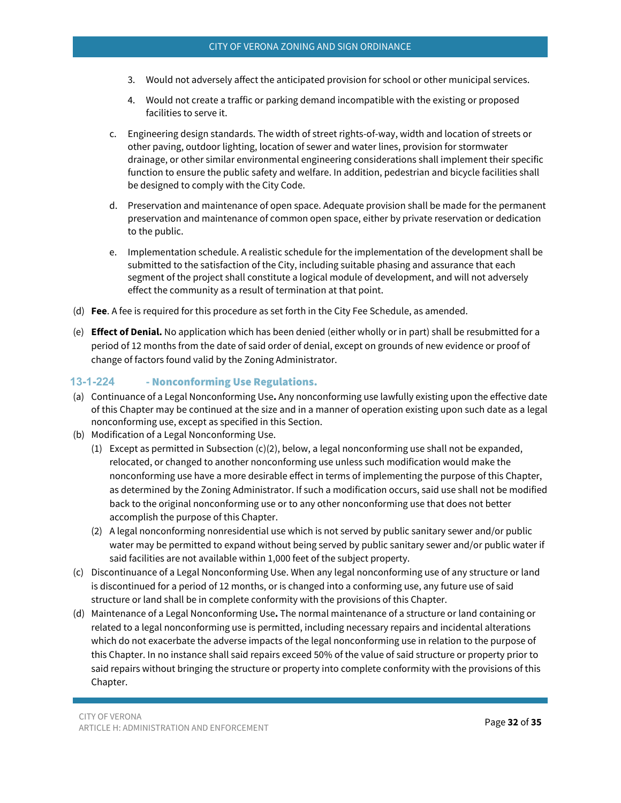- 3. Would not adversely affect the anticipated provision for school or other municipal services.
- 4. Would not create a traffic or parking demand incompatible with the existing or proposed facilities to serve it.
- c. Engineering design standards. The width of street rights-of-way, width and location of streets or other paving, outdoor lighting, location of sewer and water lines, provision for stormwater drainage, or other similar environmental engineering considerations shall implement their specific function to ensure the public safety and welfare. In addition, pedestrian and bicycle facilities shall be designed to comply with the City Code.
- d. Preservation and maintenance of open space. Adequate provision shall be made for the permanent preservation and maintenance of common open space, either by private reservation or dedication to the public.
- e. Implementation schedule. A realistic schedule for the implementation of the development shall be submitted to the satisfaction of the City, including suitable phasing and assurance that each segment of the project shall constitute a logical module of development, and will not adversely effect the community as a result of termination at that point.
- (d) **Fee**. A fee is required for this procedure as set forth in the City Fee Schedule, as amended.
- (e) **Effect of Denial.** No application which has been denied (either wholly or in part) shall be resubmitted for a period of 12 months from the date of said order of denial, except on grounds of new evidence or proof of change of factors found valid by the Zoning Administrator.

## <span id="page-31-0"></span>**13-1-224** - Nonconforming Use Regulations.

- (a) Continuance of a Legal Nonconforming Use**.** Any nonconforming use lawfully existing upon the effective date of this Chapter may be continued at the size and in a manner of operation existing upon such date as a legal nonconforming use, except as specified in this Section.
- (b) Modification of a Legal Nonconforming Use.
	- (1) Except as permitted in Subsection  $(c)(2)$ , below, a legal nonconforming use shall not be expanded, relocated, or changed to another nonconforming use unless such modification would make the nonconforming use have a more desirable effect in terms of implementing the purpose of this Chapter, as determined by the Zoning Administrator. If such a modification occurs, said use shall not be modified back to the original nonconforming use or to any other nonconforming use that does not better accomplish the purpose of this Chapter.
	- (2) A legal nonconforming nonresidential use which is not served by public sanitary sewer and/or public water may be permitted to expand without being served by public sanitary sewer and/or public water if said facilities are not available within 1,000 feet of the subject property.
- (c) Discontinuance of a Legal Nonconforming Use. When any legal nonconforming use of any structure or land is discontinued for a period of 12 months, or is changed into a conforming use, any future use of said structure or land shall be in complete conformity with the provisions of this Chapter.
- (d) Maintenance of a Legal Nonconforming Use**.** The normal maintenance of a structure or land containing or related to a legal nonconforming use is permitted, including necessary repairs and incidental alterations which do not exacerbate the adverse impacts of the legal nonconforming use in relation to the purpose of this Chapter. In no instance shall said repairs exceed 50% of the value of said structure or property prior to said repairs without bringing the structure or property into complete conformity with the provisions of this Chapter.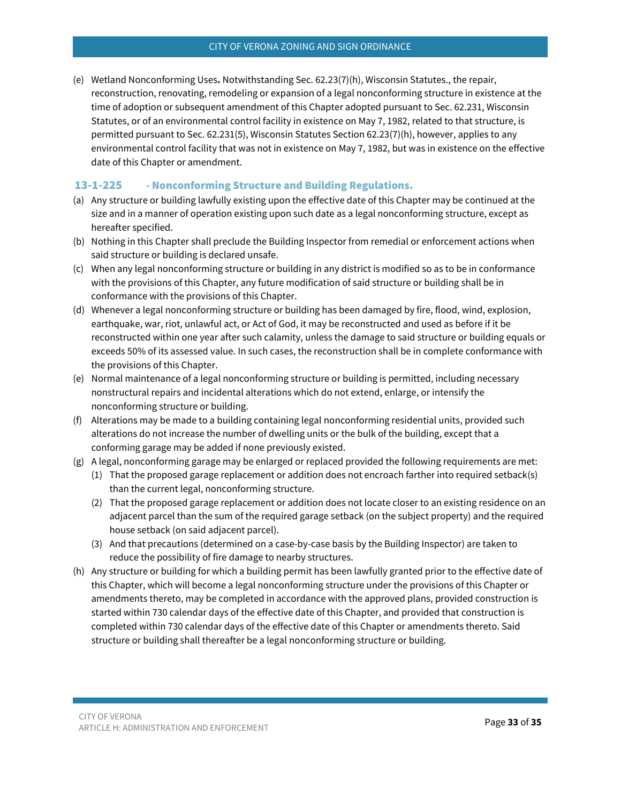(e) Wetland Nonconforming Uses**.** Notwithstanding Sec. 62.23(7)(h), Wisconsin Statutes., the repair, reconstruction, renovating, remodeling or expansion of a legal nonconforming structure in existence at the time of adoption or subsequent amendment of this Chapter adopted pursuant to Sec. 62.231, Wisconsin Statutes, or of an environmental control facility in existence on May 7, 1982, related to that structure, is permitted pursuant to Sec. 62.231(5), Wisconsin Statutes Section 62.23(7)(h), however, applies to any environmental control facility that was not in existence on May 7, 1982, but was in existence on the effective date of this Chapter or amendment.

## <span id="page-32-0"></span>13-1-225 - Nonconforming Structure and Building Regulations.

- (a) Any structure or building lawfully existing upon the effective date of this Chapter may be continued at the size and in a manner of operation existing upon such date as a legal nonconforming structure, except as hereafter specified.
- (b) Nothing in this Chapter shall preclude the Building Inspector from remedial or enforcement actions when said structure or building is declared unsafe.
- (c) When any legal nonconforming structure or building in any district is modified so as to be in conformance with the provisions of this Chapter, any future modification of said structure or building shall be in conformance with the provisions of this Chapter.
- (d) Whenever a legal nonconforming structure or building has been damaged by fire, flood, wind, explosion, earthquake, war, riot, unlawful act, or Act of God, it may be reconstructed and used as before if it be reconstructed within one year after such calamity, unless the damage to said structure or building equals or exceeds 50% of its assessed value. In such cases, the reconstruction shall be in complete conformance with the provisions of this Chapter.
- (e) Normal maintenance of a legal nonconforming structure or building is permitted, including necessary nonstructural repairs and incidental alterations which do not extend, enlarge, or intensify the nonconforming structure or building.
- (f) Alterations may be made to a building containing legal nonconforming residential units, provided such alterations do not increase the number of dwelling units or the bulk of the building, except that a conforming garage may be added if none previously existed.
- (g) A legal, nonconforming garage may be enlarged or replaced provided the following requirements are met:
	- (1) That the proposed garage replacement or addition does not encroach farther into required setback(s) than the current legal, nonconforming structure.
	- (2) That the proposed garage replacement or addition does not locate closer to an existing residence on an adjacent parcel than the sum of the required garage setback (on the subject property) and the required house setback (on said adjacent parcel).
	- (3) And that precautions (determined on a case-by-case basis by the Building Inspector) are taken to reduce the possibility of fire damage to nearby structures.
- (h) Any structure or building for which a building permit has been lawfully granted prior to the effective date of this Chapter, which will become a legal nonconforming structure under the provisions of this Chapter or amendments thereto, may be completed in accordance with the approved plans, provided construction is started within 730 calendar days of the effective date of this Chapter, and provided that construction is completed within 730 calendar days of the effective date of this Chapter or amendments thereto. Said structure or building shall thereafter be a legal nonconforming structure or building.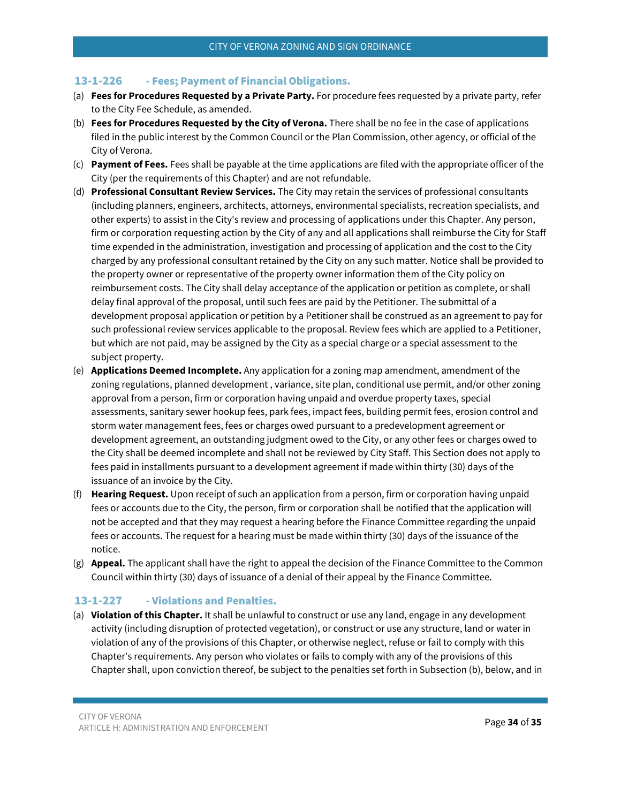## <span id="page-33-0"></span>13-1-226 - Fees; Payment of Financial Obligations.

- (a) **Fees for Procedures Requested by a Private Party.** For procedure fees requested by a private party, refer to the City Fee Schedule, as amended.
- (b) **Fees for Procedures Requested by the City of Verona.** There shall be no fee in the case of applications filed in the public interest by the Common Council or the Plan Commission, other agency, or official of the City of Verona.
- (c) **Payment of Fees.** Fees shall be payable at the time applications are filed with the appropriate officer of the City (per the requirements of this Chapter) and are not refundable.
- (d) **Professional Consultant Review Services.** The City may retain the services of professional consultants (including planners, engineers, architects, attorneys, environmental specialists, recreation specialists, and other experts) to assist in the City's review and processing of applications under this Chapter. Any person, firm or corporation requesting action by the City of any and all applications shall reimburse the City for Staff time expended in the administration, investigation and processing of application and the cost to the City charged by any professional consultant retained by the City on any such matter. Notice shall be provided to the property owner or representative of the property owner information them of the City policy on reimbursement costs. The City shall delay acceptance of the application or petition as complete, or shall delay final approval of the proposal, until such fees are paid by the Petitioner. The submittal of a development proposal application or petition by a Petitioner shall be construed as an agreement to pay for such professional review services applicable to the proposal. Review fees which are applied to a Petitioner, but which are not paid, may be assigned by the City as a special charge or a special assessment to the subject property.
- (e) **Applications Deemed Incomplete.** Any application for a zoning map amendment, amendment of the zoning regulations, planned development , variance, site plan, conditional use permit, and/or other zoning approval from a person, firm or corporation having unpaid and overdue property taxes, special assessments, sanitary sewer hookup fees, park fees, impact fees, building permit fees, erosion control and storm water management fees, fees or charges owed pursuant to a predevelopment agreement or development agreement, an outstanding judgment owed to the City, or any other fees or charges owed to the City shall be deemed incomplete and shall not be reviewed by City Staff. This Section does not apply to fees paid in installments pursuant to a development agreement if made within thirty (30) days of the issuance of an invoice by the City.
- (f) **Hearing Request.** Upon receipt of such an application from a person, firm or corporation having unpaid fees or accounts due to the City, the person, firm or corporation shall be notified that the application will not be accepted and that they may request a hearing before the Finance Committee regarding the unpaid fees or accounts. The request for a hearing must be made within thirty (30) days of the issuance of the notice.
- (g) **Appeal.** The applicant shall have the right to appeal the decision of the Finance Committee to the Common Council within thirty (30) days of issuance of a denial of their appeal by the Finance Committee.

## <span id="page-33-1"></span>13-1-227 - Violations and Penalties.

(a) **Violation of this Chapter.** It shall be unlawful to construct or use any land, engage in any development activity (including disruption of protected vegetation), or construct or use any structure, land or water in violation of any of the provisions of this Chapter, or otherwise neglect, refuse or fail to comply with this Chapter's requirements. Any person who violates or fails to comply with any of the provisions of this Chapter shall, upon conviction thereof, be subject to the penalties set forth in Subsection (b), below, and in